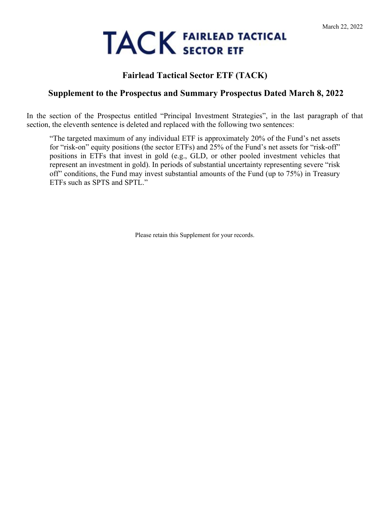# **TACK FAIRLEAD TACTICAL**

# **Fairlead Tactical Sector ETF (TACK)**

## **Supplement to the Prospectus and Summary Prospectus Dated March 8, 2022**

In the section of the Prospectus entitled "Principal Investment Strategies", in the last paragraph of that section, the eleventh sentence is deleted and replaced with the following two sentences:

"The targeted maximum of any individual ETF is approximately 20% of the Fund's net assets for "risk-on" equity positions (the sector ETFs) and 25% of the Fund's net assets for "risk-off" positions in ETFs that invest in gold (e.g., GLD, or other pooled investment vehicles that represent an investment in gold). In periods of substantial uncertainty representing severe "risk off" conditions, the Fund may invest substantial amounts of the Fund (up to 75%) in Treasury ETFs such as SPTS and SPTL."

Please retain this Supplement for your records.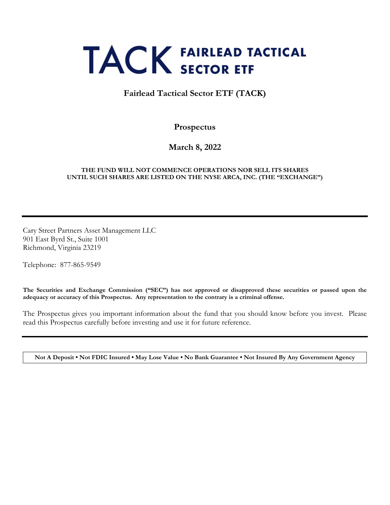# **TACK FAIRLEAD TACTICAL**

## **Fairlead Tactical Sector ETF (TACK)**

**Prospectus**

**March 8, 2022**

#### **THE FUND WILL NOT COMMENCE OPERATIONS NOR SELL ITS SHARES UNTIL SUCH SHARES ARE LISTED ON THE NYSE ARCA, INC. (THE "EXCHANGE")**

Cary Street Partners Asset Management LLC 901 East Byrd St., Suite 1001 Richmond, Virginia 23219

Telephone: 877-865-9549

**The Securities and Exchange Commission ("SEC") has not approved or disapproved these securities or passed upon the adequacy or accuracy of this Prospectus. Any representation to the contrary is a criminal offense.**

The Prospectus gives you important information about the fund that you should know before you invest. Please read this Prospectus carefully before investing and use it for future reference.

**Not A Deposit • Not FDIC Insured • May Lose Value • No Bank Guarantee • Not Insured By Any Government Agency**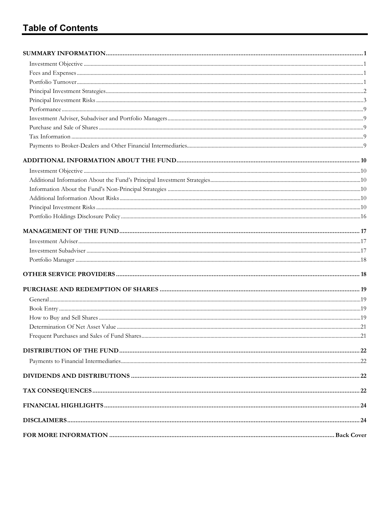# **Table of Contents**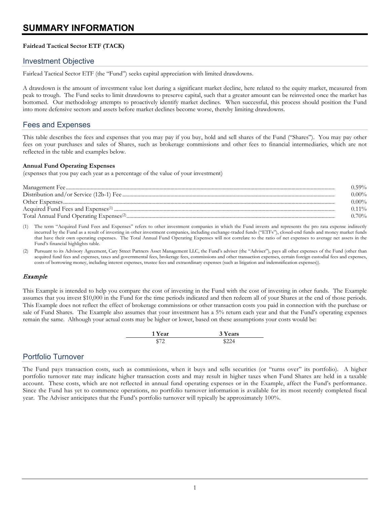# <span id="page-3-0"></span>**SUMMARY INFORMATION**

#### **Fairlead Tactical Sector ETF (TACK)**

#### <span id="page-3-1"></span>Investment Objective

Fairlead Tactical Sector ETF (the "Fund") seeks capital appreciation with limited drawdowns.

A drawdown is the amount of investment value lost during a significant market decline, here related to the equity market, measured from peak to trough. The Fund seeks to limit drawdowns to preserve capital, such that a greater amount can be reinvested once the market has bottomed. Our methodology attempts to proactively identify market declines. When successful, this process should position the Fund into more defensive sectors and assets before market declines become worse, thereby limiting drawdowns.

### <span id="page-3-2"></span>Fees and Expenses

This table describes the fees and expenses that you may pay if you buy, hold and sell shares of the Fund ("Shares"). You may pay other fees on your purchases and sales of Shares, such as brokerage commissions and other fees to financial intermediaries, which are not reflected in the table and examples below.

#### **Annual Fund Operating Expenses**

(expenses that you pay each year as a percentage of the value of your investment)

| $0.59\%$ |
|----------|
| 0.00%    |
| 0.00%    |
| $0.11\%$ |
| ) 70%    |

(1) The term "Acquired Fund Fees and Expenses" refers to other investment companies in which the Fund invests and represents the pro rata expense indirectly incurred by the Fund as a result of investing in other investment companies, including exchange-traded funds ("ETFs"), closed-end funds and money market funds that have their own operating expenses. The Total Annual Fund Operating Expenses will not correlate to the ratio of net expenses to average net assets in the Fund's financial highlights table.

Pursuant to its Advisory Agreement, Cary Street Partners Asset Management LLC, the Fund's adviser (the "Adviser"), pays all other expenses of the Fund (other than acquired fund fees and expenses, taxes and governmental fees, brokerage fees, commissions and other transaction expenses, certain foreign custodial fees and expenses, costs of borrowing money, including interest expenses, trustee fees and extraordinary expenses (such as litigation and indemnification expenses)).

#### Example

This Example is intended to help you compare the cost of investing in the Fund with the cost of investing in other funds. The Example assumes that you invest \$10,000 in the Fund for the time periods indicated and then redeem all of your Shares at the end of those periods. This Example does not reflect the effect of brokerage commissions or other transaction costs you paid in connection with the purchase or sale of Fund Shares. The Example also assumes that your investment has a 5% return each year and that the Fund's operating expenses remain the same. Although your actual costs may be higher or lower, based on these assumptions your costs would be:

| 1 Year | 3 Years |
|--------|---------|
| \$72   | \$224   |

#### <span id="page-3-3"></span>Portfolio Turnover

The Fund pays transaction costs, such as commissions, when it buys and sells securities (or "turns over" its portfolio). A higher portfolio turnover rate may indicate higher transaction costs and may result in higher taxes when Fund Shares are held in a taxable account. These costs, which are not reflected in annual fund operating expenses or in the Example, affect the Fund's performance. Since the Fund has yet to commence operations, no portfolio turnover information is available for its most recently completed fiscal year. The Adviser anticipates that the Fund's portfolio turnover will typically be approximately 100%.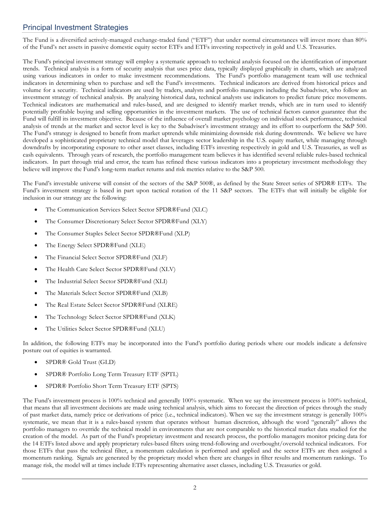## <span id="page-4-0"></span>Principal Investment Strategies

The Fund is a diversified actively-managed exchange-traded fund ("ETF") that under normal circumstances will invest more than 80% of the Fund's net assets in passive domestic equity sector ETFs and ETFs investing respectively in gold and U.S. Treasuries.

The Fund's principal investment strategy will employ a systematic approach to technical analysis focused on the identification of important trends. Technical analysis is a form of security analysis that uses price data, typically displayed graphically in charts, which are analyzed using various indicators in order to make investment recommendations. The Fund's portfolio management team will use technical indicators in determining when to purchase and sell the Fund's investments. Technical indicators are derived from historical prices and volume for a security. Technical indicators are used by traders, analysts and portfolio managers including the Subadviser, who follow an investment strategy of technical analysis. By analyzing historical data, technical analysts use indicators to predict future price movements. Technical indicators are mathematical and rules-based, and are designed to identify market trends, which are in turn used to identify potentially profitable buying and selling opportunities in the investment markets. The use of technical factors cannot guarantee that the Fund will fulfill its investment objective. Because of the influence of overall market psychology on individual stock performance, technical analysis of trends at the market and sector level is key to the Subadviser's investment strategy and its effort to outperform the S&P 500. The Fund's strategy is designed to benefit from market uptrends while minimizing downside risk during downtrends. We believe we have developed a sophisticated proprietary technical model that leverages sector leadership in the U.S. equity market, while managing through downdrafts by incorporating exposure to other asset classes, including ETFs investing respectively in gold and U.S. Treasuries, as well as cash equivalents. Through years of research, the portfolio management team believes it has identified several reliable rules-based technical indicators. In part through trial and error, the team has refined these various indicators into a proprietary investment methodology they believe will improve the Fund's long-term market returns and risk metrics relative to the S&P 500.

The Fund's investable universe will consist of the sectors of the S&P 500®, as defined by the State Street series of SPDR® ETFs. The Fund's investment strategy is based in part upon tactical rotation of the 11 S&P sectors. The ETFs that will initially be eligible for inclusion in our strategy are the following:

- The Communication Services Select Sector SPDR®Fund (XLC)
- The Consumer Discretionary Select Sector SPDR®Fund (XLY)
- The Consumer Staples Select Sector SPDR®Fund (XLP)
- The Energy Select SPDR®Fund (XLE)
- The Financial Select Sector SPDR®Fund (XLF)
- The Health Care Select Sector SPDR®Fund (XLV)
- The Industrial Select Sector SPDR®Fund (XLI)
- The Materials Select Sector SPDR®Fund (XLB)
- The Real Estate Select Sector SPDR®Fund (XLRE)
- The Technology Select Sector SPDR®Fund (XLK)
- The Utilities Select Sector SPDR®Fund (XLU)

In addition, the following ETFs may be incorporated into the Fund's portfolio during periods where our models indicate a defensive posture out of equities is warranted.

- SPDR® Gold Trust (GLD)
- SPDR® Portfolio Long Term Treasury ETF (SPTL)
- SPDR® Portfolio Short Term Treasury ETF (SPTS)

The Fund's investment process is 100% technical and generally 100% systematic. When we say the investment process is 100% technical, that means that all investment decisions are made using technical analysis, which aims to forecast the direction of prices through the study of past market data, namely price or derivations of price (i.e., technical indicators). When we say the investment strategy is generally 100% systematic, we mean that it is a rules-based system that operates without human discretion, although the word "generally" allows the portfolio managers to override the technical model in environments that are not comparable to the historical market data studied for the creation of the model. As part of the Fund's proprietary investment and research process, the portfolio managers monitor pricing data for the 14 ETFs listed above and apply proprietary rules-based filters using trend-following and overbought/oversold technical indicators. For those ETFs that pass the technical filter, a momentum calculation is performed and applied and the sector ETFs are then assigned a momentum ranking. Signals are generated by the proprietary model when there are changes in filter results and momentum rankings. To manage risk, the model will at times include ETFs representing alternative asset classes, including U.S. Treasuries or gold.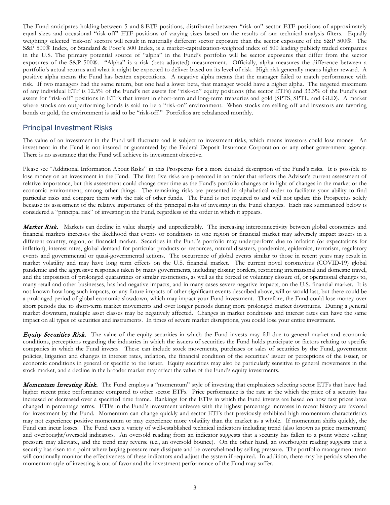The Fund anticipates holding between 5 and 8 ETF positions, distributed between "risk-on" sector ETF positions of approximately equal sizes and occasional "risk-off" ETF positions of varying sizes based on the results of our technical analysis filters. Equally weighting selected 'risk-on' sectors will result in materially different sector exposure than the sector exposure of the S&P 500®. The S&P 500® Index, or Standard & Poor's 500 Index, is a market-capitalization-weighted index of 500 leading publicly traded companies in the U.S. The primary potential source of "alpha" in the Fund's portfolio will be sector exposures that differ from the sector exposures of the S&P 500®. "Alpha" is a risk (beta adjusted) measurement. Officially, alpha measures the difference between a portfolio's actual returns and what it might be expected to deliver based on its level of risk. High risk generally means higher reward. A positive alpha means the Fund has beaten expectations. A negative alpha means that the manager failed to match performance with risk. If two managers had the same return, but one had a lower beta, that manager would have a higher alpha. The targeted maximum of any individual ETF is 12.5% of the Fund's net assets for "risk-on" equity positions (the sector ETFs) and 33.3% of the Fund's net assets for "risk-off" positions in ETFs that invest in short-term and long-term treasuries and gold (SPTS, SPTL, and GLD). A market where stocks are outperforming [bonds](https://www.investopedia.com/terms/b/bond.asp) is said to be a "risk-on" environment. When stocks are selling off and investors are favoring bonds or gold, the environment is said to be "risk-off." Portfolios are rebalanced monthly.

## <span id="page-5-0"></span>Principal Investment Risks

The value of an investment in the Fund will fluctuate and is subject to investment risks, which means investors could lose money. An investment in the Fund is not insured or guaranteed by the Federal Deposit Insurance Corporation or any other government agency. There is no assurance that the Fund will achieve its investment objective.

Please see "Additional Information About Risks" in this Prospectus for a more detailed description of the Fund's risks. It is possible to lose money on an investment in the Fund. The first five risks are presented in an order that reflects the Adviser's current assessment of relative importance, but this assessment could change over time as the Fund's portfolio changes or in light of changes in the market or the economic environment, among other things. The remaining risks are presented in alphabetical order to facilitate your ability to find particular risks and compare them with the risk of other funds. The Fund is not required to and will not update this Prospectus solely because its assessment of the relative importance of the principal risks of investing in the Fund changes. Each risk summarized below is considered a "principal risk" of investing in the Fund, regardless of the order in which it appears.

Market Risk. Markets can decline in value sharply and unpredictably. The increasing interconnectivity between global economies and financial markets increases the likelihood that events or conditions in one region or financial market may adversely impact issuers in a different country, region, or financial market. Securities in the Fund's portfolio may underperform due to inflation (or expectations for inflation), interest rates, global demand for particular products or resources, natural disasters, pandemics, epidemics, terrorism, regulatory events and governmental or quasi-governmental actions. The occurrence of global events similar to those in recent years may result in market volatility and may have long term effects on the U.S. financial market. The current novel coronavirus (COVID-19) global pandemic and the aggressive responses taken by many governments, including closing borders, restricting international and domestic travel, and the imposition of prolonged quarantines or similar restrictions, as well as the forced or voluntary closure of, or operational changes to, many retail and other businesses, has had negative impacts, and in many cases severe negative impacts, on the U.S. financial market. It is not known how long such impacts, or any future impacts of other significant events described above, will or would last, but there could be a prolonged period of global economic slowdown, which may impact your Fund investment. Therefore, the Fund could lose money over short periods due to short-term market movements and over longer periods during more prolonged market downturns. During a general market downturn, multiple asset classes may be negatively affected. Changes in market conditions and interest rates can have the same impact on all types of securities and instruments. In times of severe market disruptions, you could lose your entire investment.

**Equity Securities Risk.** The value of the equity securities in which the Fund invests may fall due to general market and economic conditions, perceptions regarding the industries in which the issuers of securities the Fund holds participate or factors relating to specific companies in which the Fund invests. These can include stock movements, purchases or sales of securities by the Fund, government policies, litigation and changes in interest rates, inflation, the financial condition of the securities' issuer or perceptions of the issuer, or economic conditions in general or specific to the issuer. Equity securities may also be particularly sensitive to general movements in the stock market, and a decline in the broader market may affect the value of the Fund's equity investments.

**Momentum Investing Risk.** The Fund employs a "momentum" style of investing that emphasizes selecting sector ETFs that have had higher recent price performance compared to other sector ETFs. Price performance is the rate at the which the price of a security has increased or decreased over a specified time frame. Rankings for the ETFs in which the Fund invests are based on how fast prices have changed in percentage terms. ETFs in the Fund's investment universe with the highest percentage increases in recent history are favored for investment by the Fund. Momentum can change quickly and sector ETFs that previously exhibited high momentum characteristics may not experience positive momentum or may experience more volatility than the market as a whole. If momentum shifts quickly, the Fund can incur losses. The Fund uses a variety of well-established technical indicators including trend (also known as price momentum) and overbought/oversold indicators. An oversold reading from an indicator suggests that a security has fallen to a point where selling pressure may alleviate, and the trend may reverse (i.e., an oversold bounce). On the other hand, an overbought reading suggests that a security has risen to a point where buying pressure may dissipate and be overwhelmed by selling pressure. The portfolio management team will continually monitor the effectiveness of these indicators and adjust the system if required. In addition, there may be periods when the momentum style of investing is out of favor and the investment performance of the Fund may suffer.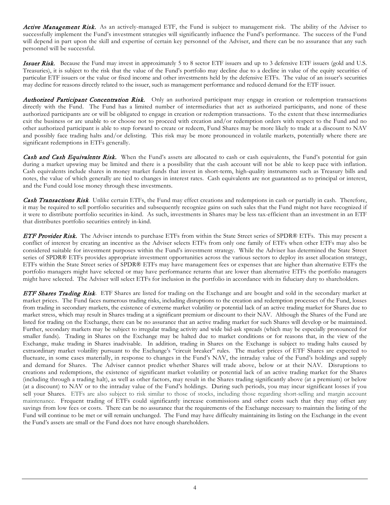Active Management Risk. As an actively-managed ETF, the Fund is subject to management risk. The ability of the Adviser to successfully implement the Fund's investment strategies will significantly influence the Fund's performance. The success of the Fund will depend in part upon the skill and expertise of certain key personnel of the Adviser, and there can be no assurance that any such personnel will be successful.

**Issuer Risk.** Because the Fund may invest in approximately 5 to 8 sector ETF issuers and up to 3 defensive ETF issuers (gold and U.S. Treasuries), it is subject to the risk that the value of the Fund's portfolio may decline due to a decline in value of the equity securities of particular ETF issuers or the value or fixed income and other investments held by the defensive ETFs. The value of an issuer's securities may decline for reasons directly related to the issuer, such as management performance and reduced demand for the ETF issuer.

Authorized Participant Concentration Risk. Only an authorized participant may engage in creation or redemption transactions directly with the Fund. The Fund has a limited number of intermediaries that act as authorized participants, and none of these authorized participants are or will be obligated to engage in creation or redemption transactions. To the extent that these intermediaries exit the business or are unable to or choose not to proceed with creation and/or redemption orders with respect to the Fund and no other authorized participant is able to step forward to create or redeem, Fund Shares may be more likely to trade at a discount to NAV and possibly face trading halts and/or delisting. This risk may be more pronounced in volatile markets, potentially where there are significant redemptions in ETFs generally.

Cash and Cash Equivalents Risk. When the Fund's assets are allocated to cash or cash equivalents, the Fund's potential for gain during a market upswing may be limited and there is a possibility that the cash account will not be able to keep pace with inflation. Cash equivalents include shares in money market funds that invest in short-term, high-quality instruments such as Treasury bills and notes, the value of which generally are tied to changes in interest rates. Cash equivalents are not guaranteed as to principal or interest, and the Fund could lose money through these investments.

Cash Transactions Risk*.* Unlike certain ETFs, the Fund may effect creations and redemptions in cash or partially in cash. Therefore, it may be required to sell portfolio securities and subsequently recognize gains on such sales that the Fund might not have recognized if it were to distribute portfolio securities in-kind. As such, investments in Shares may be less tax-efficient than an investment in an ETF that distributes portfolio securities entirely in-kind.

**ETF Provider Risk.** The Adviser intends to purchase ETFs from within the State Street series of SPDR® ETFs. This may present a conflict of interest by creating an incentive as the Adviser selects ETFs from only one family of ETFs when other ETFs may also be considered suitable for investment purposes within the Fund's investment strategy. While the Adviser has determined the State Street series of SPDR® ETFs provides appropriate investment opportunities across the various sectors to deploy its asset allocation strategy, ETFs within the State Street series of SPDR® ETFs may have management fees or expenses that are higher than alternative ETFs the portfolio managers might have selected or may have performance returns that are lower than alternative ETFs the portfolio managers might have selected. The Adviser will select ETFs for inclusion in the portfolio in accordance with its fiduciary duty to shareholders.

ETF Shares Trading Risk. ETF Shares are listed for trading on the Exchange and are bought and sold in the secondary market at market prices. The Fund faces numerous trading risks, including disruptions to the creation and redemption processes of the Fund, losses from trading in secondary markets, the existence of extreme market volatility or potential lack of an active trading market for Shares due to market stress, which may result in Shares trading at a significant premium or discount to their NAV. Although the Shares of the Fund are listed for trading on the Exchange, there can be no assurance that an active trading market for such Shares will develop or be maintained. Further, secondary markets may be subject to irregular trading activity and wide bid-ask spreads (which may be especially pronounced for smaller funds). Trading in Shares on the Exchange may be halted due to market conditions or for reasons that, in the view of the Exchange, make trading in Shares inadvisable. In addition, trading in Shares on the Exchange is subject to trading halts caused by extraordinary market volatility pursuant to the Exchange's "circuit breaker" rules. The market prices of ETF Shares are expected to fluctuate, in some cases materially, in response to changes in the Fund's NAV, the intraday value of the Fund's holdings and supply and demand for Shares. The Adviser cannot predict whether Shares will trade above, below or at their NAV. Disruptions to creations and redemptions, the existence of significant market volatility or potential lack of an active trading market for the Shares (including through a trading halt), as well as other factors, may result in the Shares trading significantly above (at a premium) or below (at a discount) to NAV or to the intraday value of the Fund's holdings. During such periods, you may incur significant losses if you sell your Shares. ETFs are also subject to risk similar to those of stocks, including those regarding short-selling and margin account maintenance. Frequent trading of ETFs could significantly increase commissions and other costs such that they may offset any savings from low fees or costs. There can be no assurance that the requirements of the Exchange necessary to maintain the listing of the Fund will continue to be met or will remain unchanged. The Fund may have difficulty maintaining its listing on the Exchange in the event the Fund's assets are small or the Fund does not have enough shareholders.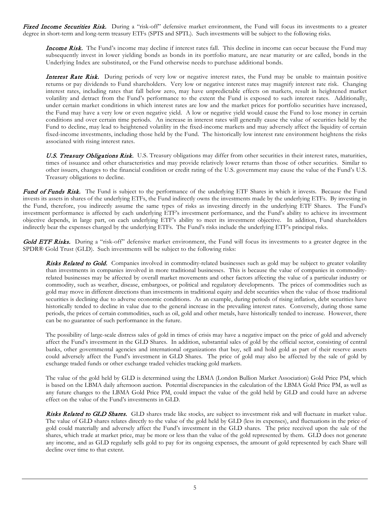Fixed Income Securities Risk. During a "risk-off" defensive market environment, the Fund will focus its investments to a greater degree in short-term and long-term treasury ETFs (SPTS and SPTL). Such investments will be subject to the following risks.

**Income Risk.** The Fund's income may decline if interest rates fall. This decline in income can occur because the Fund may subsequently invest in lower yielding bonds as bonds in its portfolio mature, are near maturity or are called, bonds in the Underlying Index are substituted, or the Fund otherwise needs to purchase additional bonds.

Interest Rate Risk. During periods of very low or negative interest rates, the Fund may be unable to maintain positive returns or pay dividends to Fund shareholders. Very low or negative interest rates may magnify interest rate risk. Changing interest rates, including rates that fall below zero, may have unpredictable effects on markets, result in heightened market volatility and detract from the Fund's performance to the extent the Fund is exposed to such interest rates. Additionally, under certain market conditions in which interest rates are low and the market prices for portfolio securities have increased, the Fund may have a very low or even negative yield. A low or negative yield would cause the Fund to lose money in certain conditions and over certain time periods. An increase in interest rates will generally cause the value of securities held by the Fund to decline, may lead to heightened volatility in the fixed-income markets and may adversely affect the liquidity of certain fixed-income investments, including those held by the Fund. The historically low interest rate environment heightens the risks associated with rising interest rates.

U.S. Treasury Obligations Risk. U.S. Treasury obligations may differ from other securities in their interest rates, maturities, times of issuance and other characteristics and may provide relatively lower returns than those of other securities. Similar to other issuers, changes to the financial condition or credit rating of the U.S. government may cause the value of the Fund's U.S. Treasury obligations to decline.

Fund of Funds Risk. The Fund is subject to the performance of the underlying ETF Shares in which it invests. Because the Fund invests its assets in shares of the underlying ETFs, the Fund indirectly owns the investments made by the underlying ETFs. By investing in the Fund, therefore, you indirectly assume the same types of risks as investing directly in the underlying ETF Shares. The Fund's investment performance is affected by each underlying ETF's investment performance, and the Fund's ability to achieve its investment objective depends, in large part, on each underlying ETF's ability to meet its investment objective. In addition, Fund shareholders indirectly bear the expenses charged by the underlying ETFs. The Fund's risks include the underlying ETF's principal risks.

Gold ETF Risks. During a "risk-off" defensive market environment, the Fund will focus its investments to a greater degree in the SPDR® Gold Trust (GLD). Such investments will be subject to the following risks:

Risks Related to Gold. Companies involved in commodity-related businesses such as gold may be subject to greater volatility than investments in companies involved in more traditional businesses. This is because the value of companies in commodityrelated businesses may be affected by overall market movements and other factors affecting the value of a particular industry or commodity, such as weather, disease, embargoes, or political and regulatory developments. The prices of commodities such as gold may move in different directions than investments in traditional equity and debt securities when the value of those traditional securities is declining due to adverse economic conditions. As an example, during periods of rising inflation, debt securities have historically tended to decline in value due to the general increase in the prevailing interest rates. Conversely, during those same periods, the prices of certain commodities, such as oil, gold and other metals, have historically tended to increase. However, there can be no guarantee of such performance in the future.

The possibility of large-scale distress sales of gold in times of crisis may have a negative impact on the price of gold and adversely affect the Fund's investment in the GLD Shares. In addition, substantial sales of gold by the official sector, consisting of central banks, other governmental agencies and international organizations that buy, sell and hold gold as part of their reserve assets could adversely affect the Fund's investment in GLD Shares. The price of gold may also be affected by the sale of gold by exchange traded funds or other exchange traded vehicles tracking gold markets.

The value of the gold held by GLD is determined using the LBMA (London Bullion Market Association) Gold Price PM, which is based on the LBMA daily afternoon auction. Potential discrepancies in the calculation of the LBMA Gold Price PM, as well as any future changes to the LBMA Gold Price PM, could impact the value of the gold held by GLD and could have an adverse effect on the value of the Fund's investments in GLD.

Risks Related to GLD Shares. GLD shares trade like stocks, are subject to investment risk and will fluctuate in market value. The value of GLD shares relates directly to the value of the gold held by GLD (less its expenses), and fluctuations in the price of gold could materially and adversely affect the Fund's investment in the GLD shares. The price received upon the sale of the shares, which trade at market price, may be more or less than the value of the gold represented by them. GLD does not generate any income, and as GLD regularly sells gold to pay for its ongoing expenses, the amount of gold represented by each Share will decline over time to that extent.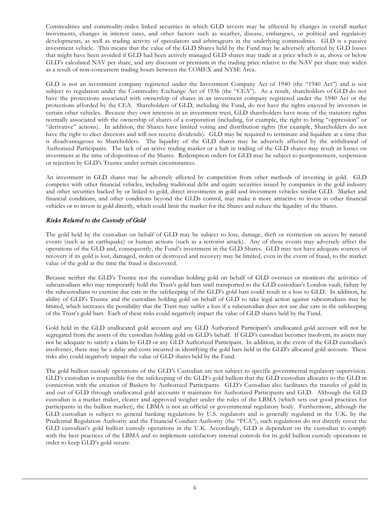Commodities and commodity-index linked securities in which GLD invests may be affected by changes in overall market movements, changes in interest rates, and other factors such as weather, disease, embargoes, or political and regulatory developments, as well as trading activity of speculators and arbitrageurs in the underlying commodities. GLD is a passive investment vehicle. This means that the value of the GLD Shares held by the Fund may be adversely affected by GLD losses that might have been avoided if GLD had been actively managed GLD shares may trade at a price which is at, above or below GLD's calculated NAV per share, and any discount or premium in the trading price relative to the NAV per share may widen as a result of non-concurrent trading hours between the COMEX and NYSE Arca.

GLD is not an investment company registered under the Investment Company Act of 1940 (the "1940 Act") and is not subject to regulation under the Commodity Exchange Act of 1936 (the "CEA"). As a result, shareholders of GLD do not have the protections associated with ownership of shares in an investment company registered under the 1940 Act or the protections afforded by the CEA. Shareholders of GLD, including the Fund, do not have the rights enjoyed by investors in certain other vehicles. Because they own interests in an investment trust, GLD shareholders have none of the statutory rights normally associated with the ownership of shares of a corporation (including, for example, the right to bring "oppression" or "derivative" actions). In addition, the Shares have limited voting and distribution rights (for example, Shareholders do not have the right to elect directors and will not receive dividends). GLD may be required to terminate and liquidate at a time that is disadvantageous to Shareholders. The liquidity of the GLD shares may be adversely affected by the withdrawal of Authorized Participants. The lack of an active trading market or a halt in trading of the GLD shares may result in losses on investment at the time of disposition of the Shares. Redemption orders for GLD may be subject to postponement, suspension or rejection by GLD's Trustee under certain circumstances.

An investment in GLD shares may be adversely affected by competition from other methods of investing in gold. GLD competes with other financial vehicles, including traditional debt and equity securities issued by companies in the gold industry and other securities backed by or linked to gold, direct investments in gold and investment vehicles similar GLD. Market and financial conditions, and other conditions beyond the GLDs control, may make it more attractive to invest in other financial vehicles or to invest in gold directly, which could limit the market for the Shares and reduce the liquidity of the Shares.

#### Risks Related to the Custody of Gold

The gold held by the custodian on behalf of GLD may be subject to loss, damage, theft or restriction on access by natural events (such as an earthquake) or human actions (such as a terrorist attack). Any of these events may adversely affect the operations of the GLD and, consequently, the Fund's investment in the GLD Shares. GLD may not have adequate sources of recovery if its gold is lost, damaged, stolen or destroyed and recovery may be limited, even in the event of fraud, to the market value of the gold at the time the fraud is discovered.

Because neither the GLD's Trustee nor the custodian holding gold on behalf of GLD oversees or monitors the activities of subcustodians who may temporarily hold the Trust's gold bars until transported to the GLD custodian's London vault, failure by the subcustodians to exercise due care in the safekeeping of the GLD's gold bars could result in a loss to GLD. In addition, he ability of GLD's Trustee and the custodian holding gold on behalf of GLD to take legal action against subcustodians may be limited, which increases the possibility that the Trust may suffer a loss if a subcustodian does not use due care in the safekeeping of the Trust's gold bars. Each of these risks could negatively impact the value of GLD shares held by the Fund.

Gold held in the GLD unallocated gold account and any GLD Authorized Participant's unallocated gold account will not be segregated from the assets of the custodian holding gold on GLD's behalf. If GLD's custodian becomes insolvent, its assets may not be adequate to satisfy a claim by GLD or any GLD Authorized Participant. In addition, in the event of the GLD custodian's insolvency, there may be a delay and costs incurred in identifying the gold bars held in the GLD's allocated gold account. These risks also could negatively impact the value of GLD shares held by the Fund.

The gold bullion custody operations of the GLD's Custodian are not subject to specific governmental regulatory supervision. GLD's custodian is responsible for the safekeeping of the GLD's gold bullion that the GLD custodian allocates to the GLD in connection with the creation of Baskets by Authorized Participants. GLD's Custodian also facilitates the transfer of gold in and out of GLD through unallocated gold accounts it maintains for Authorized Participants and GLD. Although the GLD custodian is a market maker, clearer and approved weigher under the rules of the LBMA (which sets out good practices for participants in the bullion market), the LBMA is not an official or governmental regulatory body. Furthermore, although the GLD custodian is subject to general banking regulations by U.S. regulators and is generally regulated in the U.K. by the Prudential Regulation Authority and the Financial Conduct Authority (the "FCA"), such regulations do not directly cover the GLD custodian's gold bullion custody operations in the U.K. Accordingly, GLD is dependent on the custodian to comply with the best practices of the LBMA and to implement satisfactory internal controls for its gold bullion custody operations in order to keep GLD's gold secure.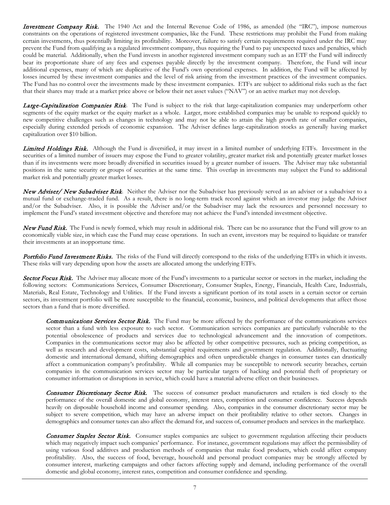**Investment Company Risk.** The 1940 Act and the Internal Revenue Code of 1986, as amended (the "IRC"), impose numerous constraints on the operations of registered investment companies, like the Fund. These restrictions may prohibit the Fund from making certain investments, thus potentially limiting its profitability. Moreover, failure to satisfy certain requirements required under the IRC may prevent the Fund from qualifying as a regulated investment company, thus requiring the Fund to pay unexpected taxes and penalties, which could be material. Additionally, when the Fund invests in another registered investment company such as an ETF the Fund will indirectly bear its proportionate share of any fees and expenses payable directly by the investment company. Therefore, the Fund will incur additional expenses, many of which are duplicative of the Fund's own operational expenses. In addition, the Fund will be affected by losses incurred by these investment companies and the level of risk arising from the investment practices of the investment companies. The Fund has no control over the investments made by these investment companies. ETFs are subject to additional risks such as the fact that their shares may trade at a market price above or below their net asset values ("NAV") or an active market may not develop.

Large-Capitalization Companies Risk. The Fund is subject to the risk that large-capitalization companies may underperform other segments of the equity market or the equity market as a whole. Larger, more established companies may be unable to respond quickly to new competitive challenges such as changes in technology and may not be able to attain the high growth rate of smaller companies, especially during extended periods of economic expansion. The Adviser defines large-capitalization stocks as generally having market capitalization over \$10 billion.

Limited Holdings Risk. Although the Fund is diversified, it may invest in a limited number of underlying ETFs. Investment in the securities of a limited number of issuers may expose the Fund to greater volatility, greater market risk and potentially greater market losses than if its investments were more broadly diversified in securities issued by a greater number of issuers. The Adviser may take substantial positions in the same security or groups of securities at the same time. This overlap in investments may subject the Fund to additional market risk and potentially greater market losses.

New Adviser/ New Subadviser Risk. Neither the Adviser nor the Subadviser has previously served as an adviser or a subadviser to a mutual fund or exchange-traded fund. As a result, there is no long-term track record against which an investor may judge the Adviser and/or the Subadviser. Also, it is possible the Adviser and/or the Subadviser may lack the resources and personnel necessary to implement the Fund's stated investment objective and therefore may not achieve the Fund's intended investment objective.

New Fund Risk.The Fund is newly formed, which may result in additional risk. There can be no assurance that the Fund will grow to an economically viable size, in which case the Fund may cease operations. In such an event, investors may be required to liquidate or transfer their investments at an inopportune time.

Portfolio Fund Investment Risks. The risks of the Fund will directly correspond to the risks of the underlying ETFs in which it invests. These risks will vary depending upon how the assets are allocated among the underlying ETFs.

Sector Focus Risk. The Adviser may allocate more of the Fund's investments to a particular sector or sectors in the market, including the following sectors: Communications Services, Consumer Discretionary, Consumer Staples, Energy, Financials, Health Care, Industrials, Materials, Real Estate, Technology and Utilities. If the Fund invests a significant portion of its total assets in a certain sector or certain sectors, its investment portfolio will be more susceptible to the financial, economic, business, and political developments that affect those sectors than a fund that is more diversified.

Communications Services Sector Risk. The Fund may be more affected by the performance of the communications services sector than a fund with less exposure to such sector. Communication services companies are particularly vulnerable to the potential obsolescence of products and services due to technological advancement and the innovation of competitors. Companies in the communications sector may also be affected by other competitive pressures, such as pricing competition, as well as research and development costs, substantial capital requirements and government regulation. Additionally, fluctuating domestic and international demand, shifting demographics and often unpredictable changes in consumer tastes can drastically affect a communication company's profitability. While all companies may be susceptible to network security breaches, certain companies in the communication services sector may be particular targets of hacking and potential theft of proprietary or consumer information or disruptions in service, which could have a material adverse effect on their businesses.

Consumer Discretionary Sector Risk. The success of consumer product manufacturers and retailers is tied closely to the performance of the overall domestic and global economy, interest rates, competition and consumer confidence. Success depends heavily on disposable household income and consumer spending. Also, companies in the consumer discretionary sector may be subject to severe competition, which may have an adverse impact on their profitability relative to other sectors. Changes in demographics and consumer tastes can also affect the demand for, and success of, consumer products and services in the marketplace.

Consumer Staples Sector Risk. Consumer staples companies are subject to government regulation affecting their products which may negatively impact such companies' performance. For instance, government regulations may affect the permissibility of using various food additives and production methods of companies that make food products, which could affect company profitability. Also, the success of food, beverage, household and personal product companies may be strongly affected by consumer interest, marketing campaigns and other factors affecting supply and demand, including performance of the overall domestic and global economy, interest rates, competition and consumer confidence and spending.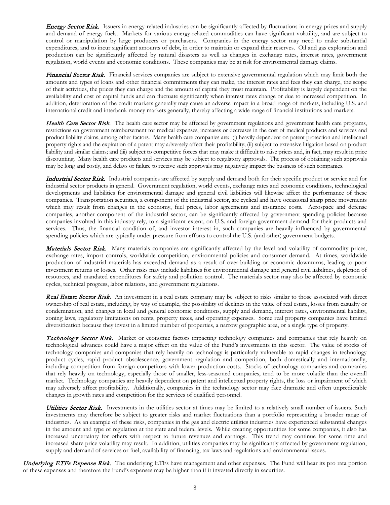**Energy Sector Risk.** Issuers in energy-related industries can be significantly affected by fluctuations in energy prices and supply and demand of energy fuels. Markets for various energy-related commodities can have significant volatility, and are subject to control or manipulation by large producers or purchasers. Companies in the energy sector may need to make substantial expenditures, and to incur significant amounts of debt, in order to maintain or expand their reserves. Oil and gas exploration and production can be significantly affected by natural disasters as well as changes in exchange rates, interest rates, government regulation, world events and economic conditions. These companies may be at risk for environmental damage claims.

Financial Sector Risk. Financial services companies are subject to extensive governmental regulation which may limit both the amounts and types of loans and other financial commitments they can make, the interest rates and fees they can charge, the scope of their activities, the prices they can charge and the amount of capital they must maintain. Profitability is largely dependent on the availability and cost of capital funds and can fluctuate significantly when interest rates change or due to increased competition. In addition, deterioration of the credit markets generally may cause an adverse impact in a broad range of markets, including U.S. and international credit and interbank money markets generally, thereby affecting a wide range of financial institutions and markets.

Health Care Sector Risk. The health care sector may be affected by government regulations and government health care programs, restrictions on government reimbursement for medical expenses, increases or decreases in the cost of medical products and services and product liability claims, among other factors. Many health care companies are: (i) heavily dependent on patent protection and intellectual property rights and the expiration of a patent may adversely affect their profitability; (ii) subject to extensive litigation based on product liability and similar claims; and (iii) subject to competitive forces that may make it difficult to raise prices and, in fact, may result in price discounting. Many health care products and services may be subject to regulatory approvals. The process of obtaining such approvals may be long and costly, and delays or failure to receive such approvals may negatively impact the business of such companies.

Industrial Sector Risk. Industrial companies are affected by supply and demand both for their specific product or service and for industrial sector products in general. Government regulation, world events, exchange rates and economic conditions, technological developments and liabilities for environmental damage and general civil liabilities will likewise affect the performance of these companies. Transportation securities, a component of the industrial sector, are cyclical and have occasional sharp price movements which may result from changes in the economy, fuel prices, labor agreements and insurance costs. Aerospace and defense companies, another component of the industrial sector, can be significantly affected by government spending policies because companies involved in this industry rely, to a significant extent, on U.S. and foreign government demand for their products and services. Thus, the financial condition of, and investor interest in, such companies are heavily influenced by governmental spending policies which are typically under pressure from efforts to control the U.S. (and other) government budgets.

Materials Sector Risk. Many materials companies are significantly affected by the level and volatility of commodity prices, exchange rates, import controls, worldwide competition, environmental policies and consumer demand. At times, worldwide production of industrial materials has exceeded demand as a result of over-building or economic downturns, leading to poor investment returns or losses. Other risks may include liabilities for environmental damage and general civil liabilities, depletion of resources, and mandated expenditures for safety and pollution control. The materials sector may also be affected by economic cycles, technical progress, labor relations, and government regulations.

Real Estate Sector Risk**.** An investment in a real estate company may be subject to risks similar to those associated with direct ownership of real estate, including, by way of example, the possibility of declines in the value of real estate, losses from casualty or condemnation, and changes in local and general economic conditions, supply and demand, interest rates, environmental liability, zoning laws, regulatory limitations on rents, property taxes, and operating expenses. Some real property companies have limited diversification because they invest in a limited number of properties, a narrow geographic area, or a single type of property.

**Technology Sector Risk.** Market or economic factors impacting technology companies and companies that rely heavily on technological advances could have a major effect on the value of the Fund's investments in this sector. The value of stocks of technology companies and companies that rely heavily on technology is particularly vulnerable to rapid changes in technology product cycles, rapid product obsolescence, government regulation and competition, both domestically and internationally, including competition from foreign competitors with lower production costs. Stocks of technology companies and companies that rely heavily on technology, especially those of smaller, less-seasoned companies, tend to be more volatile than the overall market. Technology companies are heavily dependent on patent and intellectual property rights, the loss or impairment of which may adversely affect profitability. Additionally, companies in the technology sector may face dramatic and often unpredictable changes in growth rates and competition for the services of qualified personnel.

Utilities Sector Risk. Investments in the utilities sector at times may be limited to a relatively small number of issuers. Such investments may therefore be subject to greater risks and market fluctuations than a portfolio representing a broader range of industries. As an example of these risks, companies in the gas and electric utilities industries have experienced substantial changes in the amount and type of regulation at the state and federal levels. While creating opportunities for some companies, it also has increased uncertainty for others with respect to future revenues and earnings. This trend may continue for some time and increased share price volatility may result. In addition, utilities companies may be significantly affected by government regulation, supply and demand of services or fuel, availability of financing, tax laws and regulations and environmental issues.

Underlying ETFs Expense Risk. The underlying ETFs have management and other expenses. The Fund will bear its pro rata portion of these expenses and therefore the Fund's expenses may be higher than if it invested directly in securities.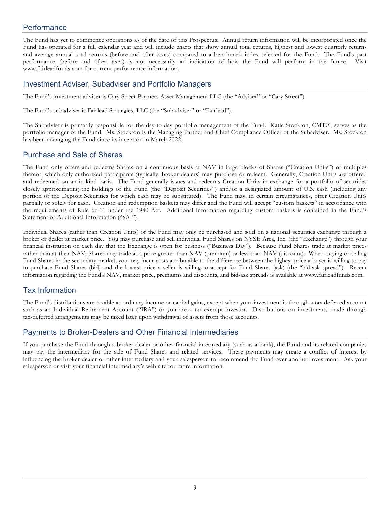## <span id="page-11-0"></span>**Performance**

The Fund has yet to commence operations as of the date of this Prospectus. Annual return information will be incorporated once the Fund has operated for a full calendar year and will include charts that show annual total returns, highest and lowest quarterly returns and average annual total returns (before and after taxes) compared to a benchmark index selected for the Fund. The Fund's past performance (before and after taxes) is not necessarily an indication of how the Fund will perform in the future. Visit www.fairleadfunds.com for current performance information.

#### <span id="page-11-1"></span>Investment Adviser, Subadviser and Portfolio Managers

The Fund's investment adviser is Cary Street Partners Asset Management LLC (the "Adviser" or "Cary Street").

The Fund's subadviser is Fairlead Strategies, LLC (the "Subadviser" or "Fairlead").

The Subadviser is primarily responsible for the day-to-day portfolio management of the Fund. Katie Stockton, CMT®, serves as the portfolio manager of the Fund. Ms. Stockton is the Managing Partner and Chief Compliance Officer of the Subadviser. Ms. Stockton has been managing the Fund since its inception in March 2022.

## <span id="page-11-2"></span>Purchase and Sale of Shares

The Fund only offers and redeems Shares on a continuous basis at NAV in large blocks of Shares ("Creation Units") or multiples thereof, which only authorized participants (typically, broker-dealers) may purchase or redeem. Generally, Creation Units are offered and redeemed on an in-kind basis. The Fund generally issues and redeems Creation Units in exchange for a portfolio of securities closely approximating the holdings of the Fund (the "Deposit Securities") and/or a designated amount of U.S. cash (including any portion of the Deposit Securities for which cash may be substituted). The Fund may, in certain circumstances, offer Creation Units partially or solely for cash. Creation and redemption baskets may differ and the Fund will accept "custom baskets" in accordance with the requirements of Rule 6c-11 under the 1940 Act. Additional information regarding custom baskets is contained in the Fund's Statement of Additional Information ("SAI").

Individual Shares (rather than Creation Units) of the Fund may only be purchased and sold on a national securities exchange through a broker or dealer at market price. You may purchase and sell individual Fund Shares on NYSE Arca, Inc. (the "Exchange") through your financial institution on each day that the Exchange is open for business ("Business Day"). Because Fund Shares trade at market prices rather than at their NAV, Shares may trade at a price greater than NAV (premium) or less than NAV (discount). When buying or selling Fund Shares in the secondary market, you may incur costs attributable to the difference between the highest price a buyer is willing to pay to purchase Fund Shares (bid) and the lowest price a seller is willing to accept for Fund Shares (ask) (the "bid-ask spread"). Recent information regarding the Fund's NAV, market price, premiums and discounts, and bid-ask spreads is available at www.fairleadfunds.com.

## <span id="page-11-3"></span>Tax Information

The Fund's distributions are taxable as ordinary income or capital gains, except when your investment is through a tax deferred account such as an Individual Retirement Account ("IRA") or you are a tax-exempt investor. Distributions on investments made through tax-deferred arrangements may be taxed later upon withdrawal of assets from those accounts.

## <span id="page-11-4"></span>Payments to Broker-Dealers and Other Financial Intermediaries

If you purchase the Fund through a broker-dealer or other financial intermediary (such as a bank), the Fund and its related companies may pay the intermediary for the sale of Fund Shares and related services. These payments may create a conflict of interest by influencing the broker-dealer or other intermediary and your salesperson to recommend the Fund over another investment. Ask your salesperson or visit your financial intermediary's web site for more information.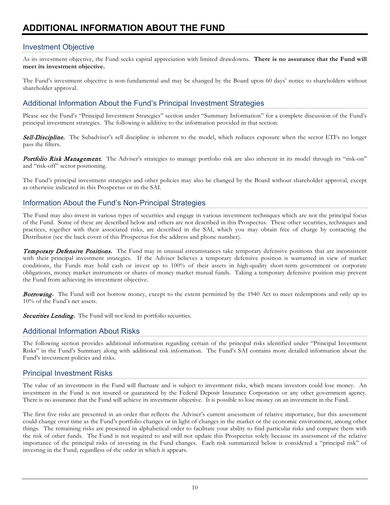## <span id="page-12-1"></span><span id="page-12-0"></span>Investment Objective

As its investment objective, the Fund seeks capital appreciation with limited drawdowns. **There is no assurance that the Fund will meet its investment objective.** 

The Fund's investment objective is non-fundamental and may be changed by the Board upon 60 days' notice to shareholders without shareholder approval.

## <span id="page-12-2"></span>Additional Information About the Fund's Principal Investment Strategies

Please see the Fund's "Principal Investment Strategies" section under "Summary Information" for a complete discussion of the Fund's principal investment strategies. The following is additive to the information provided in that section.

Sell-Discipline. The Subadviser's sell discipline is inherent to the model, which reduces exposure when the sector ETFs no longer pass the filters.

Portfolio Risk Management. The Adviser's strategies to manage portfolio risk are also inherent in its model through its "risk-on" and "risk-off" sector positioning.

The Fund's principal investment strategies and other policies may also be changed by the Board without shareholder approval, except as otherwise indicated in this Prospectus or in the SAI.

## <span id="page-12-3"></span>Information About the Fund's Non-Principal Strategies

The Fund may also invest in various types of securities and engage in various investment techniques which are not the principal focus of the Fund. Some of these are described below and others are not described in this Prospectus. These other securities, techniques and practices, together with their associated risks, are described in the SAI, which you may obtain free of charge by contacting the Distributor (see the back cover of this Prospectus for the address and phone number).

Temporary Defensive Positions**.** The Fund may in unusual circumstances take temporary defensive positions that are inconsistent with their principal investment strategies. If the Adviser believes a temporary defensive position is warranted in view of market conditions, the Funds may hold cash or invest up to 100% of their assets in high-quality short-term government or corporate obligations, money market instruments or shares of money market mutual funds. Taking a temporary defensive position may prevent the Fund from achieving its investment objective.

Borrowing**.** The Fund will not borrow money, except to the extent permitted by the 1940 Act to meet redemptions and only up to 10% of the Fund's net assets.

Securities Lending. The Fund will not lend its portfolio securities.

## <span id="page-12-4"></span>Additional Information About Risks

The following section provides additional information regarding certain of the principal risks identified under "Principal Investment Risks" in the Fund's Summary along with additional risk information. The Fund's SAI contains more detailed information about the Fund's investment policies and risks.

## <span id="page-12-5"></span>Principal Investment Risks

The value of an investment in the Fund will fluctuate and is subject to investment risks, which means investors could lose money. An investment in the Fund is not insured or guaranteed by the Federal Deposit Insurance Corporation or any other government agency. There is no assurance that the Fund will achieve its investment objective. It is possible to lose money on an investment in the Fund.

The first five risks are presented in an order that reflects the Adviser's current assessment of relative importance, but this assessment could change over time as the Fund's portfolio changes or in light of changes in the market or the economic environment, among other things. The remaining risks are presented in alphabetical order to facilitate your ability to find particular risks and compare them with the risk of other funds. The Fund is not required to and will not update this Prospectus solely because its assessment of the relative importance of the principal risks of investing in the Fund changes. Each risk summarized below is considered a "principal risk" of investing in the Fund, regardless of the order in which it appears.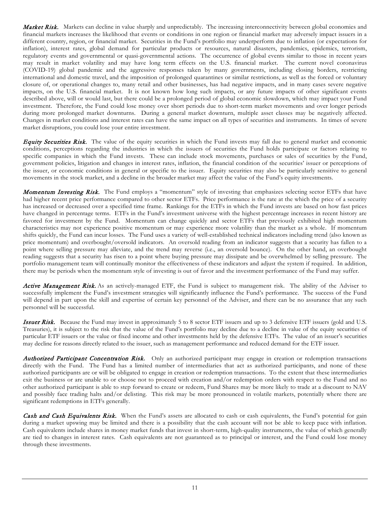Market Risk. Markets can decline in value sharply and unpredictably. The increasing interconnectivity between global economies and financial markets increases the likelihood that events or conditions in one region or financial market may adversely impact issuers in a different country, region, or financial market. Securities in the Fund's portfolio may underperform due to inflation (or expectations for inflation), interest rates, global demand for particular products or resources, natural disasters, pandemics, epidemics, terrorism, regulatory events and governmental or quasi-governmental actions. The occurrence of global events similar to those in recent years may result in market volatility and may have long term effects on the U.S. financial market. The current novel coronavirus (COVID-19) global pandemic and the aggressive responses taken by many governments, including closing borders, restricting international and domestic travel, and the imposition of prolonged quarantines or similar restrictions, as well as the forced or voluntary closure of, or operational changes to, many retail and other businesses, has had negative impacts, and in many cases severe negative impacts, on the U.S. financial market. It is not known how long such impacts, or any future impacts of other significant events described above, will or would last, but there could be a prolonged period of global economic slowdown, which may impact your Fund investment. Therefore, the Fund could lose money over short periods due to short-term market movements and over longer periods during more prolonged market downturns. During a general market downturn, multiple asset classes may be negatively affected. Changes in market conditions and interest rates can have the same impact on all types of securities and instruments. In times of severe market disruptions, you could lose your entire investment.

**Equity Securities Risk.** The value of the equity securities in which the Fund invests may fall due to general market and economic conditions, perceptions regarding the industries in which the issuers of securities the Fund holds participate or factors relating to specific companies in which the Fund invests. These can include stock movements, purchases or sales of securities by the Fund, government policies, litigation and changes in interest rates, inflation, the financial condition of the securities' issuer or perceptions of the issuer, or economic conditions in general or specific to the issuer. Equity securities may also be particularly sensitive to general movements in the stock market, and a decline in the broader market may affect the value of the Fund's equity investments.

**Momentum Investing Risk.** The Fund employs a "momentum" style of investing that emphasizes selecting sector ETFs that have had higher recent price performance compared to other sector ETFs. Price performance is the rate at the which the price of a security has increased or decreased over a specified time frame. Rankings for the ETFs in which the Fund invests are based on how fast prices have changed in percentage terms. ETFs in the Fund's investment universe with the highest percentage increases in recent history are favored for investment by the Fund. Momentum can change quickly and sector ETFs that previously exhibited high momentum characteristics may not experience positive momentum or may experience more volatility than the market as a whole. If momentum shifts quickly, the Fund can incur losses. The Fund uses a variety of well-established technical indicators including trend (also known as price momentum) and overbought/oversold indicators. An oversold reading from an indicator suggests that a security has fallen to a point where selling pressure may alleviate, and the trend may reverse (i.e., an oversold bounce). On the other hand, an overbought reading suggests that a security has risen to a point where buying pressure may dissipate and be overwhelmed by selling pressure. The portfolio management team will continually monitor the effectiveness of these indicators and adjust the system if required. In addition, there may be periods when the momentum style of investing is out of favor and the investment performance of the Fund may suffer.

Active Management Risk. As an actively-managed ETF, the Fund is subject to management risk. The ability of the Adviser to successfully implement the Fund's investment strategies will significantly influence the Fund's performance. The success of the Fund will depend in part upon the skill and expertise of certain key personnel of the Adviser, and there can be no assurance that any such personnel will be successful.

**Issuer Risk.** Because the Fund may invest in approximately 5 to 8 sector ETF issuers and up to 3 defensive ETF issuers (gold and U.S. Treasuries), it is subject to the risk that the value of the Fund's portfolio may decline due to a decline in value of the equity securities of particular ETF issuers or the value or fixed income and other investments held by the defensive ETFs. The value of an issuer's securities may decline for reasons directly related to the issuer, such as management performance and reduced demand for the ETF issuer.

Authorized Participant Concentration Risk. Only an authorized participant may engage in creation or redemption transactions directly with the Fund. The Fund has a limited number of intermediaries that act as authorized participants, and none of these authorized participants are or will be obligated to engage in creation or redemption transactions. To the extent that these intermediaries exit the business or are unable to or choose not to proceed with creation and/or redemption orders with respect to the Fund and no other authorized participant is able to step forward to create or redeem, Fund Shares may be more likely to trade at a discount to NAV and possibly face trading halts and/or delisting. This risk may be more pronounced in volatile markets, potentially where there are significant redemptions in ETFs generally.

Cash and Cash Equivalents Risk. When the Fund's assets are allocated to cash or cash equivalents, the Fund's potential for gain during a market upswing may be limited and there is a possibility that the cash account will not be able to keep pace with inflation. Cash equivalents include shares in money market funds that invest in short-term, high-quality instruments, the value of which generally are tied to changes in interest rates. Cash equivalents are not guaranteed as to principal or interest, and the Fund could lose money through these investments.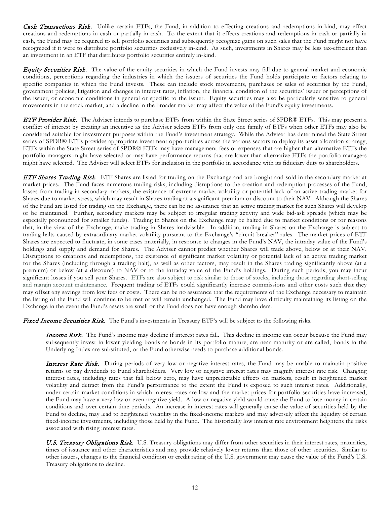Cash Transactions Risk. Unlike certain ETFs, the Fund, in addition to effecting creations and redemptions in-kind, may effect creations and redemptions in cash or partially in cash. To the extent that it effects creations and redemptions in cash or partially in cash, the Fund may be required to sell portfolio securities and subsequently recognize gains on such sales that the Fund might not have recognized if it were to distribute portfolio securities exclusively in-kind. As such, investments in Shares may be less tax-efficient than an investment in an ETF that distributes portfolio securities entirely in-kind.

**Equity Securities Risk.** The value of the equity securities in which the Fund invests may fall due to general market and economic conditions, perceptions regarding the industries in which the issuers of securities the Fund holds participate or factors relating to specific companies in which the Fund invests. These can include stock movements, purchases or sales of securities by the Fund, government policies, litigation and changes in interest rates, inflation, the financial condition of the securities' issuer or perceptions of the issuer, or economic conditions in general or specific to the issuer. Equity securities may also be particularly sensitive to general movements in the stock market, and a decline in the broader market may affect the value of the Fund's equity investments.

ETF Provider Risk. The Adviser intends to purchase ETFs from within the State Street series of SPDR® ETFs. This may present a conflict of interest by creating an incentive as the Adviser selects ETFs from only one family of ETFs when other ETFs may also be considered suitable for investment purposes within the Fund's investment strategy. While the Adviser has determined the State Street series of SPDR® ETFs provides appropriate investment opportunities across the various sectors to deploy its asset allocation strategy, ETFs within the State Street series of SPDR® ETFs may have management fees or expenses that are higher than alternative ETFs the portfolio managers might have selected or may have performance returns that are lower than alternative ETFs the portfolio managers might have selected. The Adviser will select ETFs for inclusion in the portfolio in accordance with its fiduciary duty to shareholders.

ETF Shares Trading Risk. ETF Shares are listed for trading on the Exchange and are bought and sold in the secondary market at market prices. The Fund faces numerous trading risks, including disruptions to the creation and redemption processes of the Fund, losses from trading in secondary markets, the existence of extreme market volatility or potential lack of an active trading market for Shares due to market stress, which may result in Shares trading at a significant premium or discount to their NAV. Although the Shares of the Fund are listed for trading on the Exchange, there can be no assurance that an active trading market for such Shares will develop or be maintained. Further, secondary markets may be subject to irregular trading activity and wide bid-ask spreads (which may be especially pronounced for smaller funds). Trading in Shares on the Exchange may be halted due to market conditions or for reasons that, in the view of the Exchange, make trading in Shares inadvisable. In addition, trading in Shares on the Exchange is subject to trading halts caused by extraordinary market volatility pursuant to the Exchange's "circuit breaker" rules. The market prices of ETF Shares are expected to fluctuate, in some cases materially, in response to changes in the Fund's NAV, the intraday value of the Fund's holdings and supply and demand for Shares. The Adviser cannot predict whether Shares will trade above, below or at their NAV. Disruptions to creations and redemptions, the existence of significant market volatility or potential lack of an active trading market for the Shares (including through a trading halt), as well as other factors, may result in the Shares trading significantly above (at a premium) or below (at a discount) to NAV or to the intraday value of the Fund's holdings. During such periods, you may incur significant losses if you sell your Shares. ETFs are also subject to risk similar to those of stocks, including those regarding short-selling and margin account maintenance. Frequent trading of ETFs could significantly increase commissions and other costs such that they may offset any savings from low fees or costs. There can be no assurance that the requirements of the Exchange necessary to maintain the listing of the Fund will continue to be met or will remain unchanged. The Fund may have difficulty maintaining its listing on the Exchange in the event the Fund's assets are small or the Fund does not have enough shareholders.

Fixed Income Securities Risk. The Fund's investments in Treasury ETF's will be subject to the following risks.

**Income Risk.** The Fund's income may decline if interest rates fall. This decline in income can occur because the Fund may subsequently invest in lower yielding bonds as bonds in its portfolio mature, are near maturity or are called, bonds in the Underlying Index are substituted, or the Fund otherwise needs to purchase additional bonds.

Interest Rate Risk. During periods of very low or negative interest rates, the Fund may be unable to maintain positive returns or pay dividends to Fund shareholders. Very low or negative interest rates may magnify interest rate risk. Changing interest rates, including rates that fall below zero, may have unpredictable effects on markets, result in heightened market volatility and detract from the Fund's performance to the extent the Fund is exposed to such interest rates. Additionally, under certain market conditions in which interest rates are low and the market prices for portfolio securities have increased, the Fund may have a very low or even negative yield. A low or negative yield would cause the Fund to lose money in certain conditions and over certain time periods. An increase in interest rates will generally cause the value of securities held by the Fund to decline, may lead to heightened volatility in the fixed-income markets and may adversely affect the liquidity of certain fixed-income investments, including those held by the Fund. The historically low interest rate environment heightens the risks associated with rising interest rates.

U.S. Treasury Obligations Risk. U.S. Treasury obligations may differ from other securities in their interest rates, maturities, times of issuance and other characteristics and may provide relatively lower returns than those of other securities. Similar to other issuers, changes to the financial condition or credit rating of the U.S. government may cause the value of the Fund's U.S. Treasury obligations to decline.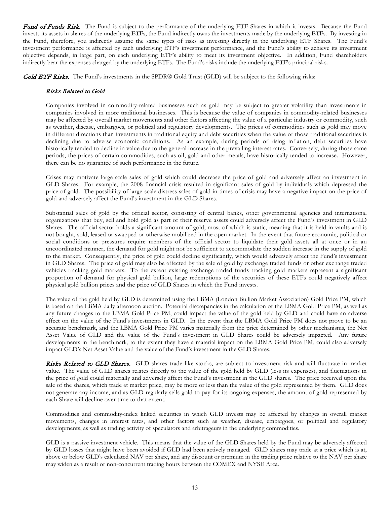Fund of Funds Risk. The Fund is subject to the performance of the underlying ETF Shares in which it invests. Because the Fund invests its assets in shares of the underlying ETFs, the Fund indirectly owns the investments made by the underlying ETFs. By investing in the Fund, therefore, you indirectly assume the same types of risks as investing directly in the underlying ETF Shares. The Fund's investment performance is affected by each underlying ETF's investment performance, and the Fund's ability to achieve its investment objective depends, in large part, on each underlying ETF's ability to meet its investment objective. In addition, Fund shareholders indirectly bear the expenses charged by the underlying ETFs. The Fund's risks include the underlying ETF's principal risks.

Gold ETF Risks. The Fund's investments in the SPDR® Gold Trust (GLD) will be subject to the following risks:

#### Risks Related to Gold

Companies involved in commodity-related businesses such as gold may be subject to greater volatility than investments in companies involved in more traditional businesses. This is because the value of companies in commodity-related businesses may be affected by overall market movements and other factors affecting the value of a particular industry or commodity, such as weather, disease, embargoes, or political and regulatory developments. The prices of commodities such as gold may move in different directions than investments in traditional equity and debt securities when the value of those traditional securities is declining due to adverse economic conditions. As an example, during periods of rising inflation, debt securities have historically tended to decline in value due to the general increase in the prevailing interest rates. Conversely, during those same periods, the prices of certain commodities, such as oil, gold and other metals, have historically tended to increase. However, there can be no guarantee of such performance in the future.

Crises may motivate large-scale sales of gold which could decrease the price of gold and adversely affect an investment in GLD Shares. For example, the 2008 financial crisis resulted in significant sales of gold by individuals which depressed the price of gold. The possibility of large-scale distress sales of gold in times of crisis may have a negative impact on the price of gold and adversely affect the Fund's investment in the GLD Shares.

Substantial sales of gold by the official sector, consisting of central banks, other governmental agencies and international organizations that buy, sell and hold gold as part of their reserve assets could adversely affect the Fund's investment in GLD Shares. The official sector holds a significant amount of gold, most of which is static, meaning that it is held in vaults and is not bought, sold, leased or swapped or otherwise mobilized in the open market. In the event that future economic, political or social conditions or pressures require members of the official sector to liquidate their gold assets all at once or in an uncoordinated manner, the demand for gold might not be sufficient to accommodate the sudden increase in the supply of gold to the market. Consequently, the price of gold could decline significantly, which would adversely affect the Fund's investment in GLD Shares. The price of gold may also be affected by the sale of gold by exchange traded funds or other exchange traded vehicles tracking gold markets. To the extent existing exchange traded funds tracking gold markets represent a significant proportion of demand for physical gold bullion, large redemptions of the securities of these ETFs could negatively affect physical gold bullion prices and the price of GLD Shares in which the Fund invests.

The value of the gold held by GLD is determined using the LBMA (London Bullion Market Association) Gold Price PM, which is based on the LBMA daily afternoon auction. Potential discrepancies in the calculation of the LBMA Gold Price PM, as well as any future changes to the LBMA Gold Price PM, could impact the value of the gold held by GLD and could have an adverse effect on the value of the Fund's investments in GLD. In the event that the LBMA Gold Price PM does not prove to be an accurate benchmark, and the LBMA Gold Price PM varies materially from the price determined by other mechanisms, the Net Asset Value of GLD and the value of the Fund's investment in GLD Shares could be adversely impacted. Any future developments in the benchmark, to the extent they have a material impact on the LBMA Gold Price PM, could also adversely impact GLD's Net Asset Value and the value of the Fund's investment in the GLD Shares.

Risks Related to GLD Shares. GLD shares trade like stocks, are subject to investment risk and will fluctuate in market value. The value of GLD shares relates directly to the value of the gold held by GLD (less its expenses), and fluctuations in the price of gold could materially and adversely affect the Fund's investment in the GLD shares. The price received upon the sale of the shares, which trade at market price, may be more or less than the value of the gold represented by them. GLD does not generate any income, and as GLD regularly sells gold to pay for its ongoing expenses, the amount of gold represented by each Share will decline over time to that extent.

Commodities and commodity-index linked securities in which GLD invests may be affected by changes in overall market movements, changes in interest rates, and other factors such as weather, disease, embargoes, or political and regulatory developments, as well as trading activity of speculators and arbitrageurs in the underlying commodities.

GLD is a passive investment vehicle. This means that the value of the GLD Shares held by the Fund may be adversely affected by GLD losses that might have been avoided if GLD had been actively managed. GLD shares may trade at a price which is at, above or below GLD's calculated NAV per share, and any discount or premium in the trading price relative to the NAV per share may widen as a result of non-concurrent trading hours between the COMEX and NYSE Arca.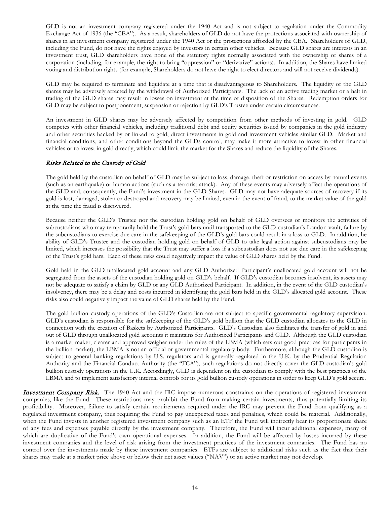GLD is not an investment company registered under the 1940 Act and is not subject to regulation under the Commodity Exchange Act of 1936 (the "CEA"). As a result, shareholders of GLD do not have the protections associated with ownership of shares in an investment company registered under the 1940 Act or the protections afforded by the CEA. Shareholders of GLD, including the Fund, do not have the rights enjoyed by investors in certain other vehicles. Because GLD shares are interests in an investment trust, GLD shareholders have none of the statutory rights normally associated with the ownership of shares of a corporation (including, for example, the right to bring "oppression" or "derivative" actions). In addition, the Shares have limited voting and distribution rights (for example, Shareholders do not have the right to elect directors and will not receive dividends).

GLD may be required to terminate and liquidate at a time that is disadvantageous to Shareholders. The liquidity of the GLD shares may be adversely affected by the withdrawal of Authorized Participants. The lack of an active trading market or a halt in trading of the GLD shares may result in losses on investment at the time of disposition of the Shares. Redemption orders for GLD may be subject to postponement, suspension or rejection by GLD's Trustee under certain circumstances.

An investment in GLD shares may be adversely affected by competition from other methods of investing in gold. GLD competes with other financial vehicles, including traditional debt and equity securities issued by companies in the gold industry and other securities backed by or linked to gold, direct investments in gold and investment vehicles similar GLD. Market and financial conditions, and other conditions beyond the GLDs control, may make it more attractive to invest in other financial vehicles or to invest in gold directly, which could limit the market for the Shares and reduce the liquidity of the Shares.

#### Risks Related to the Custody of Gold

The gold held by the custodian on behalf of GLD may be subject to loss, damage, theft or restriction on access by natural events (such as an earthquake) or human actions (such as a terrorist attack). Any of these events may adversely affect the operations of the GLD and, consequently, the Fund's investment in the GLD Shares. GLD may not have adequate sources of recovery if its gold is lost, damaged, stolen or destroyed and recovery may be limited, even in the event of fraud, to the market value of the gold at the time the fraud is discovered.

Because neither the GLD's Trustee nor the custodian holding gold on behalf of GLD oversees or monitors the activities of subcustodians who may temporarily hold the Trust's gold bars until transported to the GLD custodian's London vault, failure by the subcustodians to exercise due care in the safekeeping of the GLD's gold bars could result in a loss to GLD. In addition, he ability of GLD's Trustee and the custodian holding gold on behalf of GLD to take legal action against subcustodians may be limited, which increases the possibility that the Trust may suffer a loss if a subcustodian does not use due care in the safekeeping of the Trust's gold bars. Each of these risks could negatively impact the value of GLD shares held by the Fund.

Gold held in the GLD unallocated gold account and any GLD Authorized Participant's unallocated gold account will not be segregated from the assets of the custodian holding gold on GLD's behalf. If GLD's custodian becomes insolvent, its assets may not be adequate to satisfy a claim by GLD or any GLD Authorized Participant. In addition, in the event of the GLD custodian's insolvency, there may be a delay and costs incurred in identifying the gold bars held in the GLD's allocated gold account. These risks also could negatively impact the value of GLD shares held by the Fund.

The gold bullion custody operations of the GLD's Custodian are not subject to specific governmental regulatory supervision. GLD's custodian is responsible for the safekeeping of the GLD's gold bullion that the GLD custodian allocates to the GLD in connection with the creation of Baskets by Authorized Participants. GLD's Custodian also facilitates the transfer of gold in and out of GLD through unallocated gold accounts it maintains for Authorized Participants and GLD. Although the GLD custodian is a market maker, clearer and approved weigher under the rules of the LBMA (which sets out good practices for participants in the bullion market), the LBMA is not an official or governmental regulatory body. Furthermore, although the GLD custodian is subject to general banking regulations by U.S. regulators and is generally regulated in the U.K. by the Prudential Regulation Authority and the Financial Conduct Authority (the "FCA"), such regulations do not directly cover the GLD custodian's gold bullion custody operations in the U.K. Accordingly, GLD is dependent on the custodian to comply with the best practices of the LBMA and to implement satisfactory internal controls for its gold bullion custody operations in order to keep GLD's gold secure.

Investment Company Risk. The 1940 Act and the IRC impose numerous constraints on the operations of registered investment companies, like the Fund. These restrictions may prohibit the Fund from making certain investments, thus potentially limiting its profitability. Moreover, failure to satisfy certain requirements required under the IRC may prevent the Fund from qualifying as a regulated investment company, thus requiring the Fund to pay unexpected taxes and penalties, which could be material. Additionally, when the Fund invests in another registered investment company such as an ETF the Fund will indirectly bear its proportionate share of any fees and expenses payable directly by the investment company. Therefore, the Fund will incur additional expenses, many of which are duplicative of the Fund's own operational expenses. In addition, the Fund will be affected by losses incurred by these investment companies and the level of risk arising from the investment practices of the investment companies. The Fund has no control over the investments made by these investment companies. ETFs are subject to additional risks such as the fact that their shares may trade at a market price above or below their net asset values ("NAV") or an active market may not develop.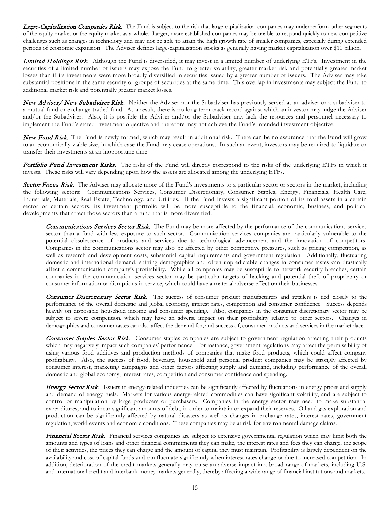Large-Capitalization Companies Risk. The Fund is subject to the risk that large-capitalization companies may underperform other segments of the equity market or the equity market as a whole. Larger, more established companies may be unable to respond quickly to new competitive challenges such as changes in technology and may not be able to attain the high growth rate of smaller companies, especially during extended periods of economic expansion. The Adviser defines large-capitalization stocks as generally having market capitalization over \$10 billion.

Limited Holdings Risk. Although the Fund is diversified, it may invest in a limited number of underlying ETFs. Investment in the securities of a limited number of issuers may expose the Fund to greater volatility, greater market risk and potentially greater market losses than if its investments were more broadly diversified in securities issued by a greater number of issuers. The Adviser may take substantial positions in the same security or groups of securities at the same time. This overlap in investments may subject the Fund to additional market risk and potentially greater market losses.

New Adviser/ New Subadviser Risk. Neither the Adviser nor the Subadviser has previously served as an adviser or a subadviser to a mutual fund or exchange-traded fund. As a result, there is no long-term track record against which an investor may judge the Adviser and/or the Subadviser. Also, it is possible the Adviser and/or the Subadviser may lack the resources and personnel necessary to implement the Fund's stated investment objective and therefore may not achieve the Fund's intended investment objective.

New Fund Risk.The Fund is newly formed, which may result in additional risk. There can be no assurance that the Fund will grow to an economically viable size, in which case the Fund may cease operations. In such an event, investors may be required to liquidate or transfer their investments at an inopportune time.

Portfolio Fund Investment Risks. The risks of the Fund will directly correspond to the risks of the underlying ETFs in which it invests. These risks will vary depending upon how the assets are allocated among the underlying ETFs.

Sector Focus Risk. The Adviser may allocate more of the Fund's investments to a particular sector or sectors in the market, including the following sectors: Communications Services, Consumer Discretionary, Consumer Staples, Energy, Financials, Health Care, Industrials, Materials, Real Estate, Technology, and Utilities. If the Fund invests a significant portion of its total assets in a certain sector or certain sectors, its investment portfolio will be more susceptible to the financial, economic, business, and political developments that affect those sectors than a fund that is more diversified.

Communications Services Sector Risk. The Fund may be more affected by the performance of the communications services sector than a fund with less exposure to such sector. Communication services companies are particularly vulnerable to the potential obsolescence of products and services due to technological advancement and the innovation of competitors. Companies in the communications sector may also be affected by other competitive pressures, such as pricing competition, as well as research and development costs, substantial capital requirements and government regulation. Additionally, fluctuating domestic and international demand, shifting demographics and often unpredictable changes in consumer tastes can drastically affect a communication company's profitability. While all companies may be susceptible to network security breaches, certain companies in the communication services sector may be particular targets of hacking and potential theft of proprietary or consumer information or disruptions in service, which could have a material adverse effect on their businesses.

Consumer Discretionary Sector Risk. The success of consumer product manufacturers and retailers is tied closely to the performance of the overall domestic and global economy, interest rates, competition and consumer confidence. Success depends heavily on disposable household income and consumer spending. Also, companies in the consumer discretionary sector may be subject to severe competition, which may have an adverse impact on their profitability relative to other sectors. Changes in demographics and consumer tastes can also affect the demand for, and success of, consumer products and services in the marketplace.

Consumer Staples Sector Risk. Consumer staples companies are subject to government regulation affecting their products which may negatively impact such companies' performance. For instance, government regulations may affect the permissibility of using various food additives and production methods of companies that make food products, which could affect company profitability. Also, the success of food, beverage, household and personal product companies may be strongly affected by consumer interest, marketing campaigns and other factors affecting supply and demand, including performance of the overall domestic and global economy, interest rates, competition and consumer confidence and spending.

**Energy Sector Risk.** Issuers in energy-related industries can be significantly affected by fluctuations in energy prices and supply and demand of energy fuels. Markets for various energy-related commodities can have significant volatility, and are subject to control or manipulation by large producers or purchasers. Companies in the energy sector may need to make substantial expenditures, and to incur significant amounts of debt, in order to maintain or expand their reserves. Oil and gas exploration and production can be significantly affected by natural disasters as well as changes in exchange rates, interest rates, government regulation, world events and economic conditions. These companies may be at risk for environmental damage claims.

Financial Sector Risk. Financial services companies are subject to extensive governmental regulation which may limit both the amounts and types of loans and other financial commitments they can make, the interest rates and fees they can charge, the scope of their activities, the prices they can charge and the amount of capital they must maintain. Profitability is largely dependent on the availability and cost of capital funds and can fluctuate significantly when interest rates change or due to increased competition. In addition, deterioration of the credit markets generally may cause an adverse impact in a broad range of markets, including U.S. and international credit and interbank money markets generally, thereby affecting a wide range of financial institutions and markets.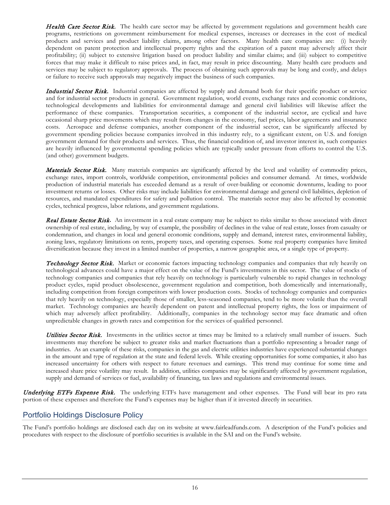Health Care Sector Risk. The health care sector may be affected by government regulations and government health care programs, restrictions on government reimbursement for medical expenses, increases or decreases in the cost of medical products and services and product liability claims, among other factors. Many health care companies are: (i) heavily dependent on patent protection and intellectual property rights and the expiration of a patent may adversely affect their profitability; (ii) subject to extensive litigation based on product liability and similar claims; and (iii) subject to competitive forces that may make it difficult to raise prices and, in fact, may result in price discounting. Many health care products and services may be subject to regulatory approvals. The process of obtaining such approvals may be long and costly, and delays or failure to receive such approvals may negatively impact the business of such companies.

Industrial Sector Risk. Industrial companies are affected by supply and demand both for their specific product or service and for industrial sector products in general. Government regulation, world events, exchange rates and economic conditions, technological developments and liabilities for environmental damage and general civil liabilities will likewise affect the performance of these companies. Transportation securities, a component of the industrial sector, are cyclical and have occasional sharp price movements which may result from changes in the economy, fuel prices, labor agreements and insurance costs. Aerospace and defense companies, another component of the industrial sector, can be significantly affected by government spending policies because companies involved in this industry rely, to a significant extent, on U.S. and foreign government demand for their products and services. Thus, the financial condition of, and investor interest in, such companies are heavily influenced by governmental spending policies which are typically under pressure from efforts to control the U.S. (and other) government budgets.

Materials Sector Risk. Many materials companies are significantly affected by the level and volatility of commodity prices, exchange rates, import controls, worldwide competition, environmental policies and consumer demand. At times, worldwide production of industrial materials has exceeded demand as a result of over-building or economic downturns, leading to poor investment returns or losses. Other risks may include liabilities for environmental damage and general civil liabilities, depletion of resources, and mandated expenditures for safety and pollution control. The materials sector may also be affected by economic cycles, technical progress, labor relations, and government regulations.

Real Estate Sector Risk**.** An investment in a real estate company may be subject to risks similar to those associated with direct ownership of real estate, including, by way of example, the possibility of declines in the value of real estate, losses from casualty or condemnation, and changes in local and general economic conditions, supply and demand, interest rates, environmental liability, zoning laws, regulatory limitations on rents, property taxes, and operating expenses. Some real property companies have limited diversification because they invest in a limited number of properties, a narrow geographic area, or a single type of property.

Technology Sector Risk. Market or economic factors impacting technology companies and companies that rely heavily on technological advances could have a major effect on the value of the Fund's investments in this sector. The value of stocks of technology companies and companies that rely heavily on technology is particularly vulnerable to rapid changes in technology product cycles, rapid product obsolescence, government regulation and competition, both domestically and internationally, including competition from foreign competitors with lower production costs. Stocks of technology companies and companies that rely heavily on technology, especially those of smaller, less-seasoned companies, tend to be more volatile than the overall market. Technology companies are heavily dependent on patent and intellectual property rights, the loss or impairment of which may adversely affect profitability. Additionally, companies in the technology sector may face dramatic and often unpredictable changes in growth rates and competition for the services of qualified personnel.

Utilities Sector Risk. Investments in the utilities sector at times may be limited to a relatively small number of issuers. Such investments may therefore be subject to greater risks and market fluctuations than a portfolio representing a broader range of industries. As an example of these risks, companies in the gas and electric utilities industries have experienced substantial changes in the amount and type of regulation at the state and federal levels. While creating opportunities for some companies, it also has increased uncertainty for others with respect to future revenues and earnings. This trend may continue for some time and increased share price volatility may result. In addition, utilities companies may be significantly affected by government regulation, supply and demand of services or fuel, availability of financing, tax laws and regulations and environmental issues.

Underlying ETFs Expense Risk. The underlying ETFs have management and other expenses. The Fund will bear its pro rata portion of these expenses and therefore the Fund's expenses may be higher than if it invested directly in securities.

## <span id="page-18-0"></span>Portfolio Holdings Disclosure Policy

The Fund's portfolio holdings are disclosed each day on its website at www.fairleadfunds.com. A description of the Fund's policies and procedures with respect to the disclosure of portfolio securities is available in the SAI and on the Fund's website.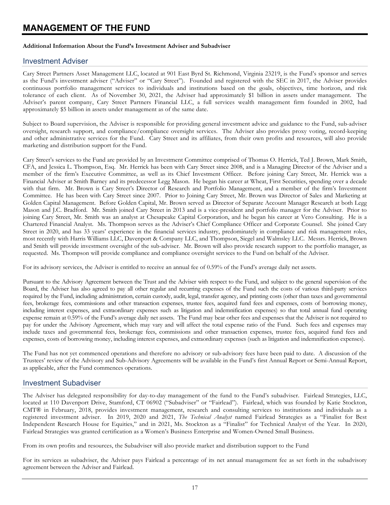# <span id="page-19-0"></span>**MANAGEMENT OF THE FUND**

#### **Additional Information About the Fund's Investment Adviser and Subadviser**

#### <span id="page-19-1"></span>Investment Adviser

Cary Street Partners Asset Management LLC, located at 901 East Byrd St. Richmond, Virginia 23219, is the Fund's sponsor and serves as the Fund's investment adviser ("Adviser" or "Cary Street"). Founded and registered with the SEC in 2017, the Adviser provides continuous portfolio management services to individuals and institutions based on the goals, objectives, time horizon, and risk tolerance of each client. As of November 30, 2021, the Adviser had approximately \$1 billion in assets under management. The Adviser's parent company, Cary Street Partners Financial LLC, a full services wealth management firm founded in 2002, had approximately \$5 billion in assets under management as of the same date.

Subject to Board supervision, the Adviser is responsible for providing general investment advice and guidance to the Fund, sub-adviser oversight, research support, and compliance/compliance oversight services. The Adviser also provides proxy voting, record-keeping and other administrative services for the Fund. Cary Street and its affiliates, from their own profits and resources, will also provide marketing and distribution support for the Fund.

Cary Street's services to the Fund are provided by an Investment Committee comprised of Thomas O. Herrick, Ted J. Brown, Mark Smith, CFA, and Jessica L. Thompson, Esq. Mr. Herrick has been with Cary Street since 2008, and is a Managing Director of the Adviser and a member of the firm's Executive Committee, as well as its Chief Investment Officer. Before joining Cary Street, Mr. Herrick was a Financial Adviser at Smith Barney and its predecessor Legg Mason. He began his career at Wheat, First Securities, spending over a decade with that firm. Mr. Brown is Cary Street's Director of Research and Portfolio Management, and a member of the firm's Investment Committee. He has been with Cary Street since 2007. Prior to Joining Cary Street, Mr. Brown was Director of Sales and Marketing at Golden Capital Management. Before Golden Capital, Mr. Brown served as Director of Separate Account Manager Research at both Legg Mason and J.C. Bradford. Mr. Smith joined Cary Street in 2013 and is a vice-president and portfolio manager for the Adviser. Prior to joining Cary Street, Mr. Smith was an analyst at Chesapeake Capital Corporation, and he began his career at Vero Consulting. He is a Chartered Financial Analyst. Ms. Thompson serves as the Adviser's Chief Compliance Officer and Corporate Counsel. She joined Cary Street in 2020, and has 33 years' experience in the financial services industry, predominately in compliance and risk management roles, most recently with Harris Williams LLC, Davenport & Company LLC, and Thompson, Siegel and Walmsley LLC. Messrs. Herrick, Brown and Smith will provide investment oversight of the sub-adviser. Mr. Brown will also provide research support to the portfolio manager, as requested. Ms. Thompson will provide compliance and compliance oversight services to the Fund on behalf of the Adviser.

For its advisory services, the Adviser is entitled to receive an annual fee of 0.59% of the Fund's average daily net assets.

Pursuant to the Advisory Agreement between the Trust and the Adviser with respect to the Fund, and subject to the general supervision of the Board, the Adviser has also agreed to pay all other regular and recurring expenses of the Fund such the costs of various third-party services required by the Fund, including administration, certain custody, audit, legal, transfer agency, and printing costs (other than taxes and governmental fees, brokerage fees, commissions and other transaction expenses, trustee fees, acquired fund fees and expenses, costs of borrowing money, including interest expenses, and extraordinary expenses such as litigation and indemnification expenses) so that total annual fund operating expense remain at 0.59% of the Fund's average daily net assets. The Fund may bear other fees and expenses that the Adviser is not required to pay for under the Advisory Agreement, which may vary and will affect the total expense ratio of the Fund. Such fees and expenses may include taxes and governmental fees, brokerage fees, commissions and other transaction expenses, trustee fees, acquired fund fees and expenses, costs of borrowing money, including interest expenses, and extraordinary expenses (such as litigation and indemnification expenses).

The Fund has not yet commenced operations and therefore no advisory or sub-advisory fees have been paid to date. A discussion of the Trustees' review of the Advisory and Sub-Advisory Agreements will be available in the Fund's first Annual Report or Semi-Annual Report, as applicable, after the Fund commences operations.

#### <span id="page-19-2"></span>Investment Subadviser

The Adviser has delegated responsibility for day-to-day management of the fund to the Fund's subadviser. Fairlead Strategies, LLC, located at 110 Davenport Drive, Stamford, CT 06902 ("Subadviser" or "Fairlead"). Fairlead, which was founded by Katie Stockton, CMT® in February, 2018, provides investment management, research and consulting services to institutions and individuals as a registered investment adviser. In 2019, 2020 and 2021, *The Technical Analyst* named Fairlead Strategies as a "Finalist for Best Independent Research House for Equities," and in 2021, Ms. Stockton as a "Finalist" for Technical Analyst of the Year. In 2020, Fairlead Strategies was granted certification as a Women's Business Enterprise and Women-Owned Small Business.

From its own profits and resources, the Subadviser will also provide market and distribution support to the Fund

For its services as subadviser, the Adviser pays Fairlead a percentage of its net annual management fee as set forth in the subadvisory agreement between the Adviser and Fairlead.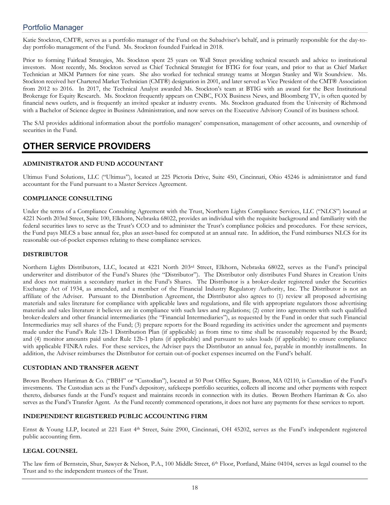## <span id="page-20-0"></span>Portfolio Manager

Katie Stockton, CMT®, serves as a portfolio manager of the Fund on the Subadviser's behalf, and is primarily responsible for the day-today portfolio management of the Fund. Ms. Stockton founded Fairlead in 2018.

Prior to forming Fairlead Strategies, Ms. Stockton spent 25 years on Wall Street providing technical research and advice to institutional investors. Most recently, Ms. Stockton served as Chief Technical Strategist for BTIG for four years, and prior to that as Chief Market Technician at MKM Partners for nine years. She also worked for technical strategy teams at Morgan Stanley and Wit Soundview. Ms. Stockton received her Chartered Market Technician (CMT®) designation in 2001, and later served as Vice President of the CMT® Association from 2012 to 2016. In 2017, the Technical Analyst awarded Ms. Stockton's team at BTIG with an award for the Best Institutional Brokerage for Equity Research. Ms. Stockton frequently appears on CNBC, FOX Business News, and Bloomberg TV, is often quoted by financial news outlets, and is frequently an invited speaker at industry events. Ms. Stockton graduated from the University of Richmond with a Bachelor of Science degree in Business Administration, and now serves on the Executive Advisory Council of its business school.

The SAI provides additional information about the portfolio managers' compensation, management of other accounts, and ownership of securities in the Fund.

# <span id="page-20-1"></span>**OTHER SERVICE PROVIDERS**

#### **ADMINISTRATOR AND FUND ACCOUNTANT**

Ultimus Fund Solutions, LLC ("Ultimus"), located at 225 Pictoria Drive, Suite 450, Cincinnati, Ohio 45246 is administrator and fund accountant for the Fund pursuant to a Master Services Agreement.

#### **COMPLIANCE CONSULTING**

Under the terms of a Compliance Consulting Agreement with the Trust, Northern Lights Compliance Services, LLC ("NLCS") located at 4221 North 203rd Street, Suite 100, Elkhorn, Nebraska 68022, provides an individual with the requisite background and familiarity with the federal securities laws to serve as the Trust's CCO and to administer the Trust's compliance policies and procedures. For these services, the Fund pays MLCS a base annual fee, plus an asset-based fee computed at an annual rate. In addition, the Fund reimburses NLCS for its reasonable out-of-pocket expenses relating to these compliance services.

#### **DISTRIBUTOR**

Northern Lights Distributors, LLC, located at 4221 North 203rd Street, Elkhorn, Nebraska 68022, serves as the Fund's principal underwriter and distributor of the Fund's Shares (the "Distributor"). The Distributor only distributes Fund Shares in Creation Units and does not maintain a secondary market in the Fund's Shares. The Distributor is a broker-dealer registered under the Securities Exchange Act of 1934, as amended, and a member of the Financial Industry Regulatory Authority, Inc. The Distributor is not an affiliate of the Adviser. Pursuant to the Distribution Agreement, the Distributor also agrees to (1) review all proposed advertising materials and sales literature for compliance with applicable laws and regulations, and file with appropriate regulators those advertising materials and sales literature it believes are in compliance with such laws and regulations; (2) enter into agreements with such qualified broker-dealers and other financial intermediaries (the "Financial Intermediaries"), as requested by the Fund in order that such Financial Intermediaries may sell shares of the Fund; (3) prepare reports for the Board regarding its activities under the agreement and payments made under the Fund's Rule 12b-1 Distribution Plan (if applicable) as from time to time shall be reasonably requested by the Board; and (4) monitor amounts paid under Rule 12b-1 plans (if applicable) and pursuant to sales loads (if applicable) to ensure compliance with applicable FINRA rules. For these services, the Adviser pays the Distributor an annual fee, payable in monthly installments. In addition, the Adviser reimburses the Distributor for certain out-of-pocket expenses incurred on the Fund's behalf.

#### **CUSTODIAN AND TRANSFER AGENT**

Brown Brothers Harriman & Co. ("BBH" or "Custodian"), located at 50 Post Office Square, Boston, MA 02110, is Custodian of the Fund's investments. The Custodian acts as the Fund's depository, safekeeps portfolio securities, collects all income and other payments with respect thereto, disburses funds at the Fund's request and maintains records in connection with its duties. Brown Brothers Harriman & Co. also serves as the Fund's Transfer Agent. As the Fund recently commenced operations, it does not have any payments for these services to report.

#### **INDEPENDENT REGISTERED PUBLIC ACCOUNTING FIRM**

Ernst & Young LLP, located at 221 East 4<sup>th</sup> Street, Suite 2900, Cincinnati, OH 45202, serves as the Fund's independent registered public accounting firm.

#### **LEGAL COUNSEL**

The law firm of Bernstein, Shur, Sawyer & Nelson, P.A., 100 Middle Street, 6th Floor, Portland, Maine 04104, serves as legal counsel to the Trust and to the independent trustees of the Trust.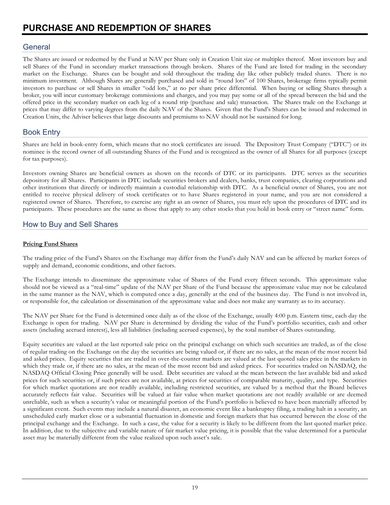## <span id="page-21-1"></span><span id="page-21-0"></span>**General**

The Shares are issued or redeemed by the Fund at NAV per Share only in Creation Unit size or multiples thereof. Most investors buy and sell Shares of the Fund in secondary market transactions through brokers. Shares of the Fund are listed for trading in the secondary market on the Exchange. Shares can be bought and sold throughout the trading day like other publicly traded shares. There is no minimum investment. Although Shares are generally purchased and sold in "round lots" of 100 Shares, brokerage firms typically permit investors to purchase or sell Shares in smaller "odd lots," at no per share price differential. When buying or selling Shares through a broker, you will incur customary brokerage commissions and charges, and you may pay some or all of the spread between the bid and the offered price in the secondary market on each leg of a round trip (purchase and sale) transaction. The Shares trade on the Exchange at prices that may differ to varying degrees from the daily NAV of the Shares. Given that the Fund's Shares can be issued and redeemed in Creation Units, the Adviser believes that large discounts and premiums to NAV should not be sustained for long.

## <span id="page-21-2"></span>Book Entry

Shares are held in book-entry form, which means that no stock certificates are issued. The Depository Trust Company ("DTC") or its nominee is the record owner of all outstanding Shares of the Fund and is recognized as the owner of all Shares for all purposes (except for tax purposes).

Investors owning Shares are beneficial owners as shown on the records of DTC or its participants. DTC serves as the securities depository for all Shares. Participants in DTC include securities brokers and dealers, banks, trust companies, clearing corporations and other institutions that directly or indirectly maintain a custodial relationship with DTC. As a beneficial owner of Shares, you are not entitled to receive physical delivery of stock certificates or to have Shares registered in your name, and you are not considered a registered owner of Shares. Therefore, to exercise any right as an owner of Shares, you must rely upon the procedures of DTC and its participants. These procedures are the same as those that apply to any other stocks that you hold in book entry or "street name" form.

## <span id="page-21-3"></span>How to Buy and Sell Shares

#### **Pricing Fund Shares**

The trading price of the Fund's Shares on the Exchange may differ from the Fund's daily NAV and can be affected by market forces of supply and demand, economic conditions, and other factors.

The Exchange intends to disseminate the approximate value of Shares of the Fund every fifteen seconds. This approximate value should not be viewed as a "real-time" update of the NAV per Share of the Fund because the approximate value may not be calculated in the same manner as the NAV, which is computed once a day, generally at the end of the business day. The Fund is not involved in, or responsible for, the calculation or dissemination of the approximate value and does not make any warranty as to its accuracy.

The NAV per Share for the Fund is determined once daily as of the close of the Exchange, usually 4:00 p.m. Eastern time, each day the Exchange is open for trading. NAV per Share is determined by dividing the value of the Fund's portfolio securities, cash and other assets (including accrued interest), less all liabilities (including accrued expenses), by the total number of Shares outstanding.

Equity securities are valued at the last reported sale price on the principal exchange on which such securities are traded, as of the close of regular trading on the Exchange on the day the securities are being valued or, if there are no sales, at the mean of the most recent bid and asked prices. Equity securities that are traded in over-the-counter markets are valued at the last quoted sales price in the markets in which they trade or, if there are no sales, at the mean of the most recent bid and asked prices. For securities traded on NASDAQ, the NASDAQ Official Closing Price generally will be used. Debt securities are valued at the mean between the last available bid and asked prices for such securities or, if such prices are not available, at prices for securities of comparable maturity, quality, and type. Securities for which market quotations are not readily available, including restricted securities, are valued by a method that the Board believes accurately reflects fair value. Securities will be valued at fair value when market quotations are not readily available or are deemed unreliable, such as when a security's value or meaningful portion of the Fund's portfolio is believed to have been materially affected by a significant event. Such events may include a natural disaster, an economic event like a bankruptcy filing, a trading halt in a security, an unscheduled early market close or a substantial fluctuation in domestic and foreign markets that has occurred between the close of the principal exchange and the Exchange. In such a case, the value for a security is likely to be different from the last quoted market price. In addition, due to the subjective and variable nature of fair market value pricing, it is possible that the value determined for a particular asset may be materially different from the value realized upon such asset's sale.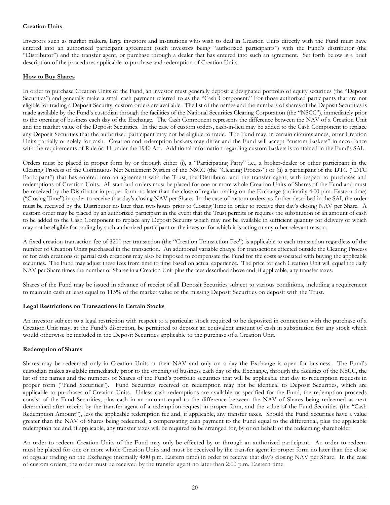#### **Creation Units**

Investors such as market makers, large investors and institutions who wish to deal in Creation Units directly with the Fund must have entered into an authorized participant agreement (such investors being "authorized participants") with the Fund's distributor (the "Distributor") and the transfer agent, or purchase through a dealer that has entered into such an agreement. Set forth below is a brief description of the procedures applicable to purchase and redemption of Creation Units.

#### **How to Buy Shares**

In order to purchase Creation Units of the Fund, an investor must generally deposit a designated portfolio of equity securities (the "Deposit Securities") and generally make a small cash payment referred to as the "Cash Component." For those authorized participants that are not eligible for trading a Deposit Security, custom orders are available. The list of the names and the numbers of shares of the Deposit Securities is made available by the Fund's custodian through the facilities of the National Securities Clearing Corporation (the "NSCC"), immediately prior to the opening of business each day of the Exchange. The Cash Component represents the difference between the NAV of a Creation Unit and the market value of the Deposit Securities. In the case of custom orders, cash-in-lieu may be added to the Cash Component to replace any Deposit Securities that the authorized participant may not be eligible to trade. The Fund may, in certain circumstances, offer Creation Units partially or solely for cash. Creation and redemption baskets may differ and the Fund will accept "custom baskets" in accordance with the requirements of Rule 6c-11 under the 1940 Act. Additional information regarding custom baskets is contained in the Fund's SAI.

Orders must be placed in proper form by or through either (i), a "Participating Party" i.e., a broker-dealer or other participant in the Clearing Process of the Continuous Net Settlement System of the NSCC (the "Clearing Process") or (ii) a participant of the DTC ("DTC Participant") that has entered into an agreement with the Trust, the Distributor and the transfer agent, with respect to purchases and redemptions of Creation Units. All standard orders must be placed for one or more whole Creation Units of Shares of the Fund and must be received by the Distributor in proper form no later than the close of regular trading on the Exchange (ordinarily 4:00 p.m. Eastern time) ("Closing Time") in order to receive that day's closing NAV per Share. In the case of custom orders, as further described in the SAI, the order must be received by the Distributor no later than two hours prior to Closing Time in order to receive that day's closing NAV per Share. A custom order may be placed by an authorized participant in the event that the Trust permits or requires the substitution of an amount of cash to be added to the Cash Component to replace any Deposit Security which may not be available in sufficient quantity for delivery or which may not be eligible for trading by such authorized participant or the investor for which it is acting or any other relevant reason.

A fixed creation transaction fee of \$200 per transaction (the "Creation Transaction Fee") is applicable to each transaction regardless of the number of Creation Units purchased in the transaction. An additional variable charge for transactions effected outside the Clearing Process or for cash creations or partial cash creations may also be imposed to compensate the Fund for the costs associated with buying the applicable securities. The Fund may adjust these fees from time to time based on actual experience. The price for each Creation Unit will equal the daily NAV per Share times the number of Shares in a Creation Unit plus the fees described above and, if applicable, any transfer taxes.

Shares of the Fund may be issued in advance of receipt of all Deposit Securities subject to various conditions, including a requirement to maintain cash at least equal to 115% of the market value of the missing Deposit Securities on deposit with the Trust.

#### **Legal Restrictions on Transactions in Certain Stocks**

An investor subject to a legal restriction with respect to a particular stock required to be deposited in connection with the purchase of a Creation Unit may, at the Fund's discretion, be permitted to deposit an equivalent amount of cash in substitution for any stock which would otherwise be included in the Deposit Securities applicable to the purchase of a Creation Unit.

#### **Redemption of Shares**

Shares may be redeemed only in Creation Units at their NAV and only on a day the Exchange is open for business. The Fund's custodian makes available immediately prior to the opening of business each day of the Exchange, through the facilities of the NSCC, the list of the names and the numbers of Shares of the Fund's portfolio securities that will be applicable that day to redemption requests in proper form ("Fund Securities"). Fund Securities received on redemption may not be identical to Deposit Securities, which are applicable to purchases of Creation Units. Unless cash redemptions are available or specified for the Fund, the redemption proceeds consist of the Fund Securities, plus cash in an amount equal to the difference between the NAV of Shares being redeemed as next determined after receipt by the transfer agent of a redemption request in proper form, and the value of the Fund Securities (the "Cash Redemption Amount"), less the applicable redemption fee and, if applicable, any transfer taxes. Should the Fund Securities have a value greater than the NAV of Shares being redeemed, a compensating cash payment to the Fund equal to the differential, plus the applicable redemption fee and, if applicable, any transfer taxes will be required to be arranged for, by or on behalf of the redeeming shareholder.

An order to redeem Creation Units of the Fund may only be effected by or through an authorized participant. An order to redeem must be placed for one or more whole Creation Units and must be received by the transfer agent in proper form no later than the close of regular trading on the Exchange (normally 4:00 p.m. Eastern time) in order to receive that day's closing NAV per Share. In the case of custom orders, the order must be received by the transfer agent no later than 2:00 p.m. Eastern time.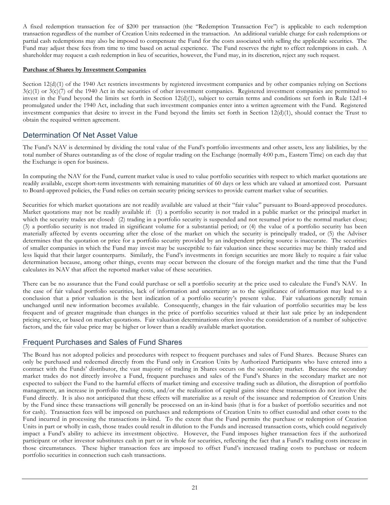A fixed redemption transaction fee of \$200 per transaction (the "Redemption Transaction Fee") is applicable to each redemption transaction regardless of the number of Creation Units redeemed in the transaction. An additional variable charge for cash redemptions or partial cash redemptions may also be imposed to compensate the Fund for the costs associated with selling the applicable securities. The Fund may adjust these fees from time to time based on actual experience. The Fund reserves the right to effect redemptions in cash. A shareholder may request a cash redemption in lieu of securities, however, the Fund may, in its discretion, reject any such request.

#### **Purchase of Shares by Investment Companies**

Section 12(d)(1) of the 1940 Act restricts investments by registered investment companies and by other companies relying on Sections  $3(c)(1)$  or  $3(c)(7)$  of the 1940 Act in the securities of other investment companies. Registered investment companies are permitted to invest in the Fund beyond the limits set forth in Section 12(d)(1), subject to certain terms and conditions set forth in Rule 12d1-4 promulgated under the 1940 Act, including that such investment companies enter into a written agreement with the Fund. Registered investment companies that desire to invest in the Fund beyond the limits set forth in Section 12(d)(1), should contact the Trust to obtain the required written agreement.

## <span id="page-23-0"></span>Determination Of Net Asset Value

The Fund's NAV is determined by dividing the total value of the Fund's portfolio investments and other assets, less any liabilities, by the total number of Shares outstanding as of the close of regular trading on the Exchange (normally 4:00 p.m., Eastern Time) on each day that the Exchange is open for business.

In computing the NAV for the Fund, current market value is used to value portfolio securities with respect to which market quotations are readily available, except short-term investments with remaining maturities of 60 days or less which are valued at amortized cost. Pursuant to Board-approved policies, the Fund relies on certain security pricing services to provide current market value of securities.

Securities for which market quotations are not readily available are valued at their "fair value" pursuant to Board-approved procedures. Market quotations may not be readily available if: (1) a portfolio security is not traded in a public market or the principal market in which the security trades are closed: (2) trading in a portfolio security is suspended and not resumed prior to the normal market close; (3) a portfolio security is not traded in significant volume for a substantial period; or (4) the value of a portfolio security has been materially affected by events occurring after the close of the market on which the security is principally traded, or (5) the Adviser determines that the quotation or price for a portfolio security provided by an independent pricing source is inaccurate. The securities of smaller companies in which the Fund may invest may be susceptible to fair valuation since these securities may be thinly traded and less liquid that their larger counterparts. Similarly, the Fund's investments in foreign securities are more likely to require a fair value determination because, among other things, events may occur between the closure of the foreign market and the time that the Fund calculates its NAV that affect the reported market value of these securities.

There can be no assurance that the Fund could purchase or sell a portfolio security at the price used to calculate the Fund's NAV. In the case of fair valued portfolio securities, lack of information and uncertainty as to the significance of information may lead to a conclusion that a prior valuation is the best indication of a portfolio security's present value. Fair valuations generally remain unchanged until new information becomes available. Consequently, changes in the fair valuation of portfolio securities may be less frequent and of greater magnitude than changes in the price of portfolio securities valued at their last sale price by an independent pricing service, or based on market quotations. Fair valuation determinations often involve the consideration of a number of subjective factors, and the fair value price may be higher or lower than a readily available market quotation.

## <span id="page-23-1"></span>Frequent Purchases and Sales of Fund Shares

The Board has not adopted policies and procedures with respect to frequent purchases and sales of Fund Shares. Because Shares can only be purchased and redeemed directly from the Fund only in Creation Units by Authorized Participants who have entered into a contract with the Funds' distributor, the vast majority of trading in Shares occurs on the secondary market. Because the secondary market trades do not directly involve a Fund, frequent purchases and sales of the Fund's Shares in the secondary market are not expected to subject the Fund to the harmful effects of market timing and excessive trading such as dilution, the disruption of portfolio management, an increase in portfolio trading costs, and/or the realization of capital gains since these transactions do not involve the Fund directly. It is also not anticipated that these effects will materialize as a result of the issuance and redemption of Creation Units by the Fund since these transactions will generally be processed on an in-kind basis (that is for a basket of portfolio securities and not for cash). Transaction fees will be imposed on purchases and redemptions of Creation Units to offset custodial and other costs to the Fund incurred in processing the transactions in-kind. To the extent that the Fund permits the purchase or redemption of Creation Units in part or wholly in cash, those trades could result in dilution to the Funds and increased transaction costs, which could negatively impact a Fund's ability to achieve its investment objective. However, the Fund imposes higher transaction fees if the authorized participant or other investor substitutes cash in part or in whole for securities, reflecting the fact that a Fund's trading costs increase in those circumstances. These higher transaction fees are imposed to offset Fund's increased trading costs to purchase or redeem portfolio securities in connection such cash transactions.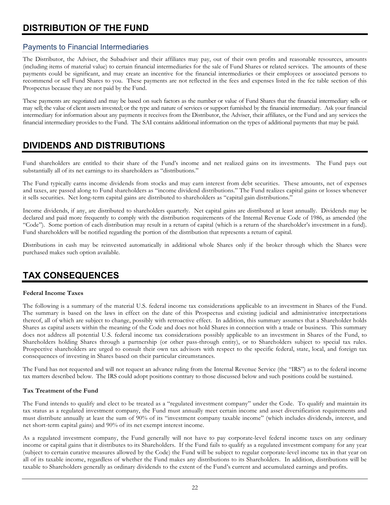# <span id="page-24-0"></span>**DISTRIBUTION OF THE FUND**

## <span id="page-24-1"></span>Payments to Financial Intermediaries

The Distributor, the Adviser, the Subadviser and their affiliates may pay, out of their own profits and reasonable resources, amounts (including items of material value) to certain financial intermediaries for the sale of Fund Shares or related services. The amounts of these payments could be significant, and may create an incentive for the financial intermediaries or their employees or associated persons to recommend or sell Fund Shares to you. These payments are not reflected in the fees and expenses listed in the fee table section of this Prospectus because they are not paid by the Fund.

These payments are negotiated and may be based on such factors as the number or value of Fund Shares that the financial intermediary sells or may sell; the value of client assets invested; or the type and nature of services or support furnished by the financial intermediary. Ask your financial intermediary for information about any payments it receives from the Distributor, the Adviser, their affiliates, or the Fund and any services the financial intermediary provides to the Fund. The SAI contains additional information on the types of additional payments that may be paid.

# <span id="page-24-2"></span>**DIVIDENDS AND DISTRIBUTIONS**

Fund shareholders are entitled to their share of the Fund's income and net realized gains on its investments. The Fund pays out substantially all of its net earnings to its shareholders as "distributions."

The Fund typically earns income dividends from stocks and may earn interest from debt securities. These amounts, net of expenses and taxes, are passed along to Fund shareholders as "income dividend distributions." The Fund realizes capital gains or losses whenever it sells securities. Net long-term capital gains are distributed to shareholders as "capital gain distributions."

Income dividends, if any, are distributed to shareholders quarterly. Net capital gains are distributed at least annually. Dividends may be declared and paid more frequently to comply with the distribution requirements of the Internal Revenue Code of 1986, as amended (the "Code"). Some portion of each distribution may result in a return of capital (which is a return of the shareholder's investment in a fund). Fund shareholders will be notified regarding the portion of the distribution that represents a return of capital.

Distributions in cash may be reinvested automatically in additional whole Shares only if the broker through which the Shares were purchased makes such option available.

# <span id="page-24-3"></span>**TAX CONSEQUENCES**

#### **Federal Income Taxes**

The following is a summary of the material U.S. federal income tax considerations applicable to an investment in Shares of the Fund. The summary is based on the laws in effect on the date of this Prospectus and existing judicial and administrative interpretations thereof, all of which are subject to change, possibly with retroactive effect. In addition, this summary assumes that a Shareholder holds Shares as capital assets within the meaning of the Code and does not hold Shares in connection with a trade or business. This summary does not address all potential U.S. federal income tax considerations possibly applicable to an investment in Shares of the Fund, to Shareholders holding Shares through a partnership (or other pass-through entity), or to Shareholders subject to special tax rules. Prospective shareholders are urged to consult their own tax advisors with respect to the specific federal, state, local, and foreign tax consequences of investing in Shares based on their particular circumstances.

The Fund has not requested and will not request an advance ruling from the Internal Revenue Service (the "IRS") as to the federal income tax matters described below. The IRS could adopt positions contrary to those discussed below and such positions could be sustained.

#### **Tax Treatment of the Fund**

The Fund intends to qualify and elect to be treated as a "regulated investment company" under the Code. To qualify and maintain its tax status as a regulated investment company, the Fund must annually meet certain income and asset diversification requirements and must distribute annually at least the sum of 90% of its "investment company taxable income" (which includes dividends, interest, and net short-term capital gains) and 90% of its net exempt interest income.

As a regulated investment company, the Fund generally will not have to pay corporate-level federal income taxes on any ordinary income or capital gains that it distributes to its Shareholders. If the Fund fails to qualify as a regulated investment company for any year (subject to certain curative measures allowed by the Code) the Fund will be subject to regular corporate-level income tax in that year on all of its taxable income, regardless of whether the Fund makes any distributions to its Shareholders. In addition, distributions will be taxable to Shareholders generally as ordinary dividends to the extent of the Fund's current and accumulated earnings and profits.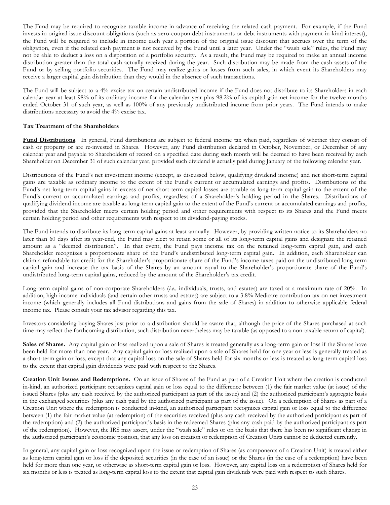The Fund may be required to recognize taxable income in advance of receiving the related cash payment. For example, if the Fund invests in original issue discount obligations (such as zero-coupon debt instruments or debt instruments with payment-in-kind interest), the Fund will be required to include in income each year a portion of the original issue discount that accrues over the term of the obligation, even if the related cash payment is not received by the Fund until a later year. Under the "wash sale" rules, the Fund may not be able to deduct a loss on a disposition of a portfolio security. As a result, the Fund may be required to make an annual income distribution greater than the total cash actually received during the year. Such distribution may be made from the cash assets of the Fund or by selling portfolio securities. The Fund may realize gains or losses from such sales, in which event its Shareholders may receive a larger capital gain distribution than they would in the absence of such transactions.

The Fund will be subject to a 4% excise tax on certain undistributed income if the Fund does not distribute to its Shareholders in each calendar year at least 98% of its ordinary income for the calendar year plus 98.2% of its capital gain net income for the twelve months ended October 31 of such year, as well as 100% of any previously undistributed income from prior years. The Fund intends to make distributions necessary to avoid the 4% excise tax.

#### **Tax Treatment of the Shareholders**

Fund Distributions. In general, Fund distributions are subject to federal income tax when paid, regardless of whether they consist of cash or property or are re-invested in Shares. However, any Fund distribution declared in October, November, or December of any calendar year and payable to Shareholders of record on a specified date during such month will be deemed to have been received by each Shareholder on December 31 of such calendar year, provided such dividend is actually paid during January of the following calendar year.

Distributions of the Fund's net investment income (except, as discussed below, qualifying dividend income) and net short-term capital gains are taxable as ordinary income to the extent of the Fund's current or accumulated earnings and profits. Distributions of the Fund's net long-term capital gains in excess of net short-term capital losses are taxable as long-term capital gain to the extent of the Fund's current or accumulated earnings and profits, regardless of a Shareholder's holding period in the Shares. Distributions of qualifying dividend income are taxable as long-term capital gain to the extent of the Fund's current or accumulated earnings and profits, provided that the Shareholder meets certain holding period and other requirements with respect to its Shares and the Fund meets certain holding period and other requirements with respect to its dividend-paying stocks.

The Fund intends to distribute its long-term capital gains at least annually. However, by providing written notice to its Shareholders no later than 60 days after its year-end, the Fund may elect to retain some or all of its long-term capital gains and designate the retained amount as a "deemed distribution". In that event, the Fund pays income tax on the retained long-term capital gain, and each Shareholder recognizes a proportionate share of the Fund's undistributed long-term capital gain. In addition, each Shareholder can claim a refundable tax credit for the Shareholder's proportionate share of the Fund's income taxes paid on the undistributed long-term capital gain and increase the tax basis of the Shares by an amount equal to the Shareholder's proportionate share of the Fund's undistributed long-term capital gains, reduced by the amount of the Shareholder's tax credit.

Long-term capital gains of non-corporate Shareholders (*i.e.,* individuals, trusts, and estates) are taxed at a maximum rate of 20%. In addition, high-income individuals (and certain other trusts and estates) are subject to a 3.8% Medicare contribution tax on net investment income (which generally includes all Fund distributions and gains from the sale of Shares) in addition to otherwise applicable federal income tax. Please consult your tax advisor regarding this tax.

Investors considering buying Shares just prior to a distribution should be aware that, although the price of the Shares purchased at such time may reflect the forthcoming distribution, such distribution nevertheless may be taxable (as opposed to a non-taxable return of capital).

**Sales of Shares.** Any capital gain or loss realized upon a sale of Shares is treated generally as a long-term gain or loss if the Shares have been held for more than one year. Any capital gain or loss realized upon a sale of Shares held for one year or less is generally treated as a short-term gain or loss, except that any capital loss on the sale of Shares held for six months or less is treated as long-term capital loss to the extent that capital gain dividends were paid with respect to the Shares.

**Creation Unit Issues and Redemptions.** On an issue of Shares of the Fund as part of a Creation Unit where the creation is conducted in-kind, an authorized participant recognizes capital gain or loss equal to the difference between (1) the fair market value (at issue) of the issued Shares (plus any cash received by the authorized participant as part of the issue) and (2) the authorized participant's aggregate basis in the exchanged securities (plus any cash paid by the authorized participant as part of the issue). On a redemption of Shares as part of a Creation Unit where the redemption is conducted in-kind, an authorized participant recognizes capital gain or loss equal to the difference between (1) the fair market value (at redemption) of the securities received (plus any cash received by the authorized participant as part of the redemption) and (2) the authorized participant's basis in the redeemed Shares (plus any cash paid by the authorized participant as part of the redemption). However, the IRS may assert, under the "wash sale" rules or on the basis that there has been no significant change in the authorized participant's economic position, that any loss on creation or redemption of Creation Units cannot be deducted currently.

In general, any capital gain or loss recognized upon the issue or redemption of Shares (as components of a Creation Unit) is treated either as long-term capital gain or loss if the deposited securities (in the case of an issue) or the Shares (in the case of a redemption) have been held for more than one year, or otherwise as short-term capital gain or loss. However, any capital loss on a redemption of Shares held for six months or less is treated as long-term capital loss to the extent that capital gain dividends were paid with respect to such Shares.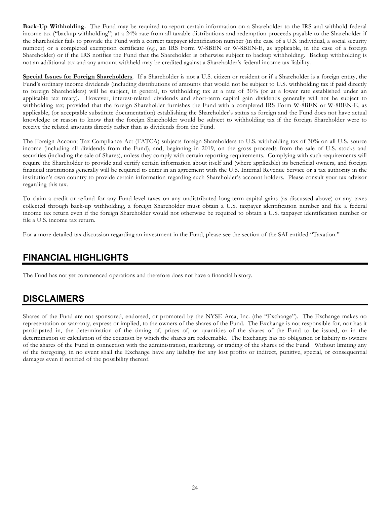**Back-Up Withholding.** The Fund may be required to report certain information on a Shareholder to the IRS and withhold federal income tax ("backup withholding") at a 24% rate from all taxable distributions and redemption proceeds payable to the Shareholder if the Shareholder fails to provide the Fund with a correct taxpayer identification number (in the case of a U.S. individual, a social security number) or a completed exemption certificate (*e.g.*, an IRS Form W-8BEN or W-8BEN-E, as applicable, in the case of a foreign Shareholder) or if the IRS notifies the Fund that the Shareholder is otherwise subject to backup withholding. Backup withholding is not an additional tax and any amount withheld may be credited against a Shareholder's federal income tax liability.

**Special Issues for Foreign Shareholders**. If a Shareholder is not a U.S. citizen or resident or if a Shareholder is a foreign entity, the Fund's ordinary income dividends (including distributions of amounts that would not be subject to U.S. withholding tax if paid directly to foreign Shareholders) will be subject, in general, to withholding tax at a rate of 30% (or at a lower rate established under an applicable tax treaty). However, interest-related dividends and short-term capital gain dividends generally will not be subject to withholding tax; provided that the foreign Shareholder furnishes the Fund with a completed IRS Form W-8BEN or W-8BEN-E, as applicable, (or acceptable substitute documentation) establishing the Shareholder's status as foreign and the Fund does not have actual knowledge or reason to know that the foreign Shareholder would be subject to withholding tax if the foreign Shareholder were to receive the related amounts directly rather than as dividends from the Fund.

The Foreign Account Tax Compliance Act (FATCA) subjects foreign Shareholders to U.S. withholding tax of 30% on all U.S. source income (including all dividends from the Fund), and, beginning in 2019, on the gross proceeds from the sale of U.S. stocks and securities (including the sale of Shares), unless they comply with certain reporting requirements. Complying with such requirements will require the Shareholder to provide and certify certain information about itself and (where applicable) its beneficial owners, and foreign financial institutions generally will be required to enter in an agreement with the U.S. Internal Revenue Service or a tax authority in the institution's own country to provide certain information regarding such Shareholder's account holders. Please consult your tax advisor regarding this tax.

To claim a credit or refund for any Fund-level taxes on any undistributed long-term capital gains (as discussed above) or any taxes collected through back-up withholding, a foreign Shareholder must obtain a U.S. taxpayer identification number and file a federal income tax return even if the foreign Shareholder would not otherwise be required to obtain a U.S. taxpayer identification number or file a U.S. income tax return.

For a more detailed tax discussion regarding an investment in the Fund, please see the section of the SAI entitled "Taxation."

# <span id="page-26-0"></span>**FINANCIAL HIGHLIGHTS**

The Fund has not yet commenced operations and therefore does not have a financial history.

## <span id="page-26-1"></span>**DISCLAIMERS**

Shares of the Fund are not sponsored, endorsed, or promoted by the NYSE Arca, Inc. (the "Exchange"). The Exchange makes no representation or warranty, express or implied, to the owners of the shares of the Fund. The Exchange is not responsible for, nor has it participated in, the determination of the timing of, prices of, or quantities of the shares of the Fund to be issued, or in the determination or calculation of the equation by which the shares are redeemable. The Exchange has no obligation or liability to owners of the shares of the Fund in connection with the administration, marketing, or trading of the shares of the Fund. Without limiting any of the foregoing, in no event shall the Exchange have any liability for any lost profits or indirect, punitive, special, or consequential damages even if notified of the possibility thereof.